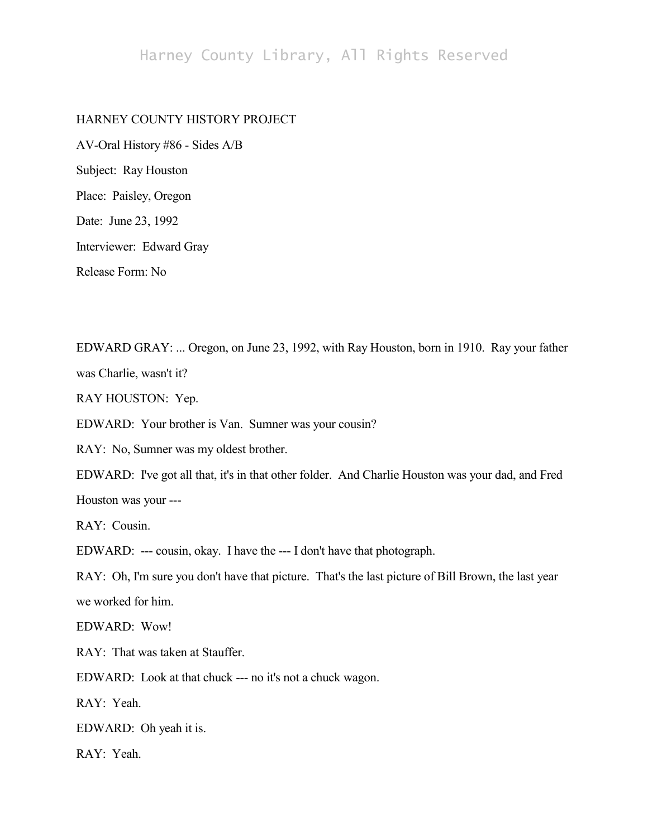## Harney County Library, All Rights Reserved

## HARNEY COUNTY HISTORY PROJECT

AV-Oral History #86 - Sides A/B Subject: Ray Houston Place: Paisley, Oregon Date: June 23, 1992 Interviewer: Edward Gray Release Form: No

EDWARD GRAY: ... Oregon, on June 23, 1992, with Ray Houston, born in 1910. Ray your father was Charlie, wasn't it?

RAY HOUSTON: Yep.

EDWARD: Your brother is Van. Sumner was your cousin?

RAY: No, Sumner was my oldest brother.

EDWARD: I've got all that, it's in that other folder. And Charlie Houston was your dad, and Fred Houston was your ---

RAY: Cousin.

EDWARD: --- cousin, okay. I have the --- I don't have that photograph.

RAY: Oh, I'm sure you don't have that picture. That's the last picture of Bill Brown, the last year we worked for him.

EDWARD: Wow!

RAY: That was taken at Stauffer.

EDWARD: Look at that chuck --- no it's not a chuck wagon.

RAY: Yeah.

EDWARD: Oh yeah it is.

RAY: Yeah.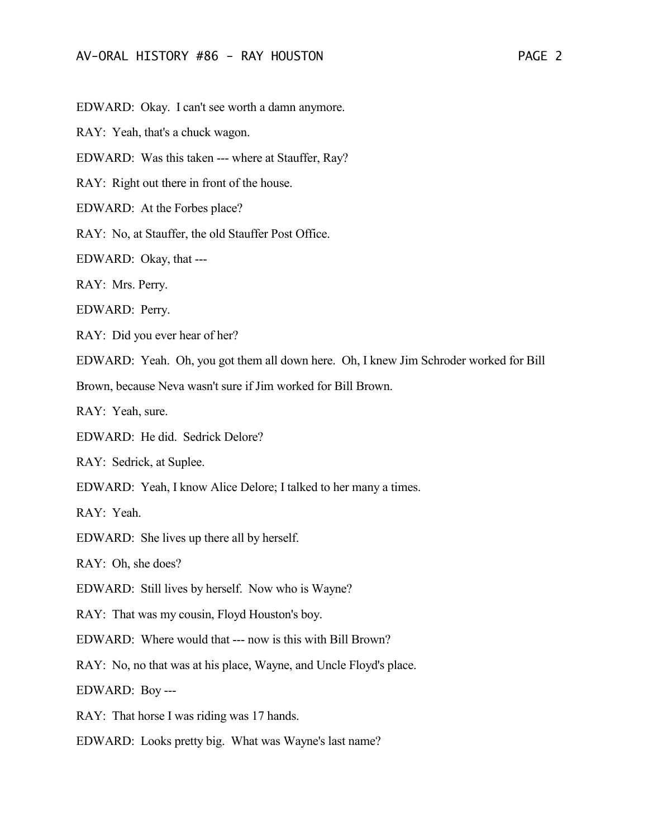EDWARD: Okay. I can't see worth a damn anymore.

RAY: Yeah, that's a chuck wagon.

EDWARD: Was this taken --- where at Stauffer, Ray?

RAY: Right out there in front of the house.

EDWARD: At the Forbes place?

RAY: No, at Stauffer, the old Stauffer Post Office.

EDWARD: Okay, that ---

RAY: Mrs. Perry.

EDWARD: Perry.

RAY: Did you ever hear of her?

EDWARD: Yeah. Oh, you got them all down here. Oh, I knew Jim Schroder worked for Bill

Brown, because Neva wasn't sure if Jim worked for Bill Brown.

RAY: Yeah, sure.

EDWARD: He did. Sedrick Delore?

RAY: Sedrick, at Suplee.

EDWARD: Yeah, I know Alice Delore; I talked to her many a times.

RAY: Yeah.

EDWARD: She lives up there all by herself.

RAY: Oh, she does?

EDWARD: Still lives by herself. Now who is Wayne?

RAY: That was my cousin, Floyd Houston's boy.

EDWARD: Where would that --- now is this with Bill Brown?

RAY: No, no that was at his place, Wayne, and Uncle Floyd's place.

EDWARD: Boy ---

RAY: That horse I was riding was 17 hands.

EDWARD: Looks pretty big. What was Wayne's last name?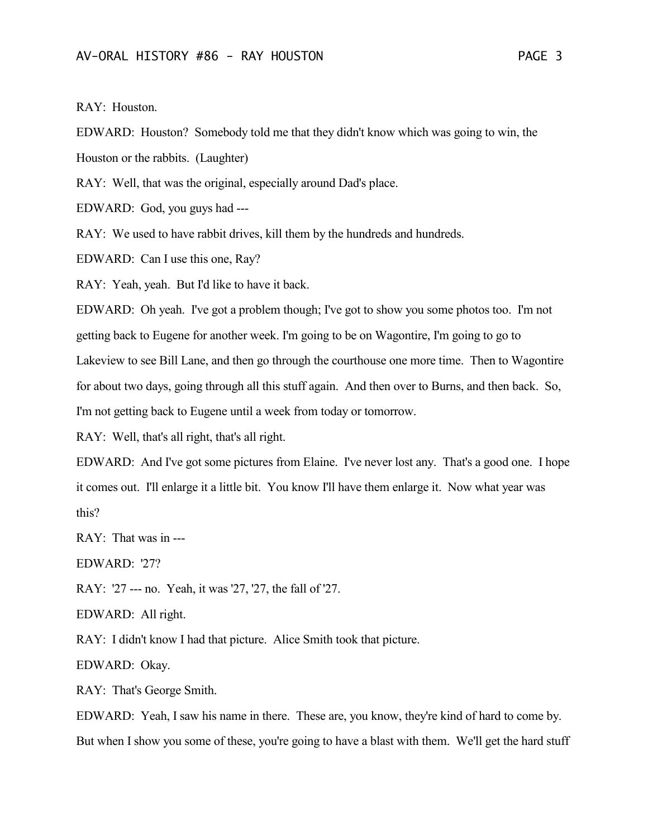RAY: Houston.

EDWARD: Houston? Somebody told me that they didn't know which was going to win, the Houston or the rabbits. (Laughter)

RAY: Well, that was the original, especially around Dad's place.

EDWARD: God, you guys had ---

RAY: We used to have rabbit drives, kill them by the hundreds and hundreds.

EDWARD: Can I use this one, Ray?

RAY: Yeah, yeah. But I'd like to have it back.

EDWARD: Oh yeah. I've got a problem though; I've got to show you some photos too. I'm not getting back to Eugene for another week. I'm going to be on Wagontire, I'm going to go to Lakeview to see Bill Lane, and then go through the courthouse one more time. Then to Wagontire for about two days, going through all this stuff again. And then over to Burns, and then back. So, I'm not getting back to Eugene until a week from today or tomorrow.

RAY: Well, that's all right, that's all right.

EDWARD: And I've got some pictures from Elaine. I've never lost any. That's a good one. I hope it comes out. I'll enlarge it a little bit. You know I'll have them enlarge it. Now what year was this?

RAY: That was in ---

EDWARD: '27?

RAY: '27 --- no. Yeah, it was '27, '27, the fall of '27.

EDWARD: All right.

RAY: I didn't know I had that picture. Alice Smith took that picture.

EDWARD: Okay.

RAY: That's George Smith.

EDWARD: Yeah, I saw his name in there. These are, you know, they're kind of hard to come by. But when I show you some of these, you're going to have a blast with them. We'll get the hard stuff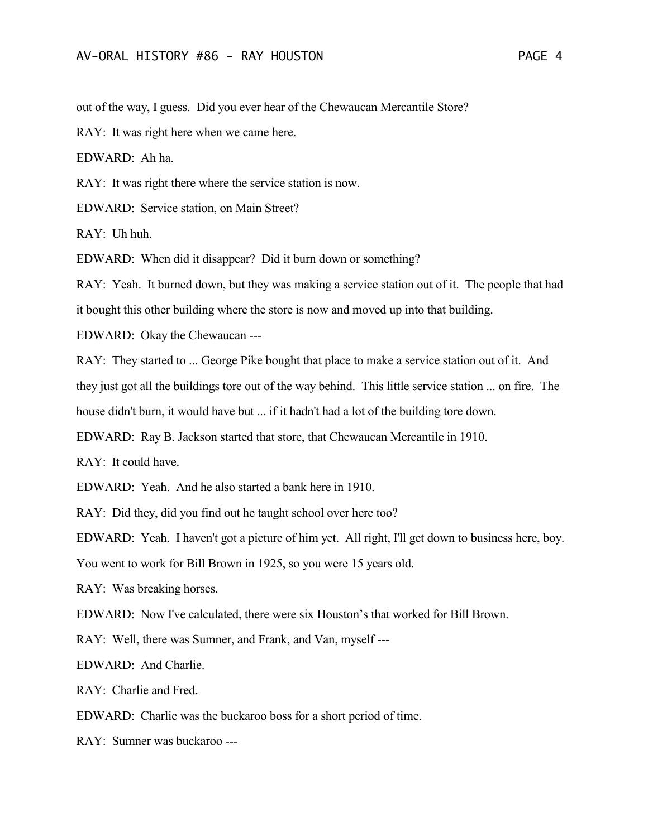out of the way, I guess. Did you ever hear of the Chewaucan Mercantile Store?

RAY: It was right here when we came here.

EDWARD: Ah ha.

RAY: It was right there where the service station is now.

EDWARD: Service station, on Main Street?

RAY: Uh huh.

EDWARD: When did it disappear? Did it burn down or something?

RAY: Yeah. It burned down, but they was making a service station out of it. The people that had it bought this other building where the store is now and moved up into that building.

EDWARD: Okay the Chewaucan ---

RAY: They started to ... George Pike bought that place to make a service station out of it. And

they just got all the buildings tore out of the way behind. This little service station ... on fire. The

house didn't burn, it would have but ... if it hadn't had a lot of the building tore down.

EDWARD: Ray B. Jackson started that store, that Chewaucan Mercantile in 1910.

RAY: It could have.

EDWARD: Yeah. And he also started a bank here in 1910.

RAY: Did they, did you find out he taught school over here too?

EDWARD: Yeah. I haven't got a picture of him yet. All right, I'll get down to business here, boy.

You went to work for Bill Brown in 1925, so you were 15 years old.

RAY: Was breaking horses.

EDWARD: Now I've calculated, there were six Houston's that worked for Bill Brown.

RAY: Well, there was Sumner, and Frank, and Van, myself ---

EDWARD: And Charlie.

RAY: Charlie and Fred.

EDWARD: Charlie was the buckaroo boss for a short period of time.

RAY: Sumner was buckaroo ---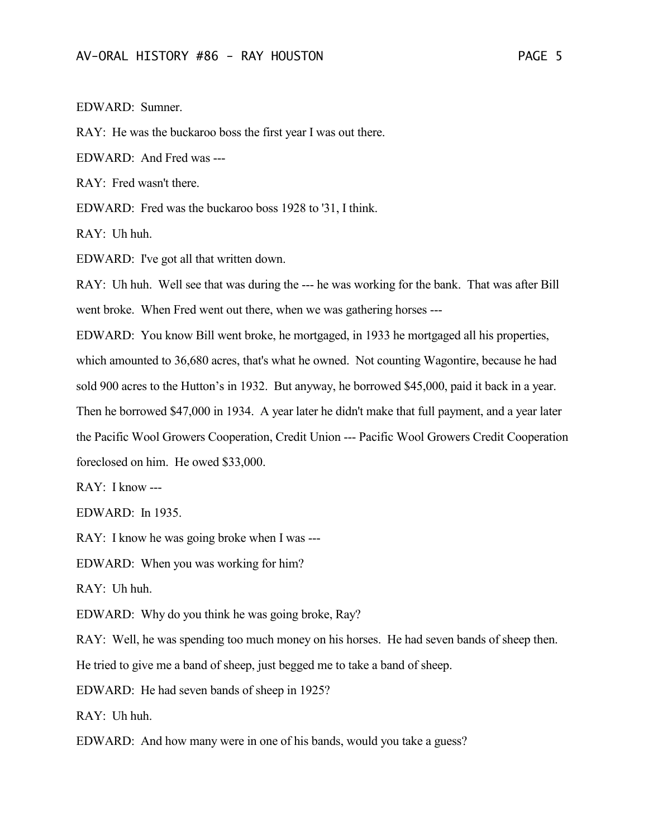EDWARD: Sumner.

RAY: He was the buckaroo boss the first year I was out there.

EDWARD: And Fred was ---

 $RAY$ : Fred wasn't there

EDWARD: Fred was the buckaroo boss 1928 to '31, I think.

RAY: Uh huh.

EDWARD: I've got all that written down.

RAY: Uh huh. Well see that was during the --- he was working for the bank. That was after Bill went broke. When Fred went out there, when we was gathering horses ---

EDWARD: You know Bill went broke, he mortgaged, in 1933 he mortgaged all his properties, which amounted to 36,680 acres, that's what he owned. Not counting Wagontire, because he had sold 900 acres to the Hutton's in 1932. But anyway, he borrowed \$45,000, paid it back in a year. Then he borrowed \$47,000 in 1934. A year later he didn't make that full payment, and a year later the Pacific Wool Growers Cooperation, Credit Union --- Pacific Wool Growers Credit Cooperation foreclosed on him. He owed \$33,000.

RAY: I know ---

EDWARD: In 1935.

RAY: I know he was going broke when I was ---

EDWARD: When you was working for him?

RAY: Uh huh.

EDWARD: Why do you think he was going broke, Ray?

RAY: Well, he was spending too much money on his horses. He had seven bands of sheep then.

He tried to give me a band of sheep, just begged me to take a band of sheep.

EDWARD: He had seven bands of sheep in 1925?

RAY: Uh huh.

EDWARD: And how many were in one of his bands, would you take a guess?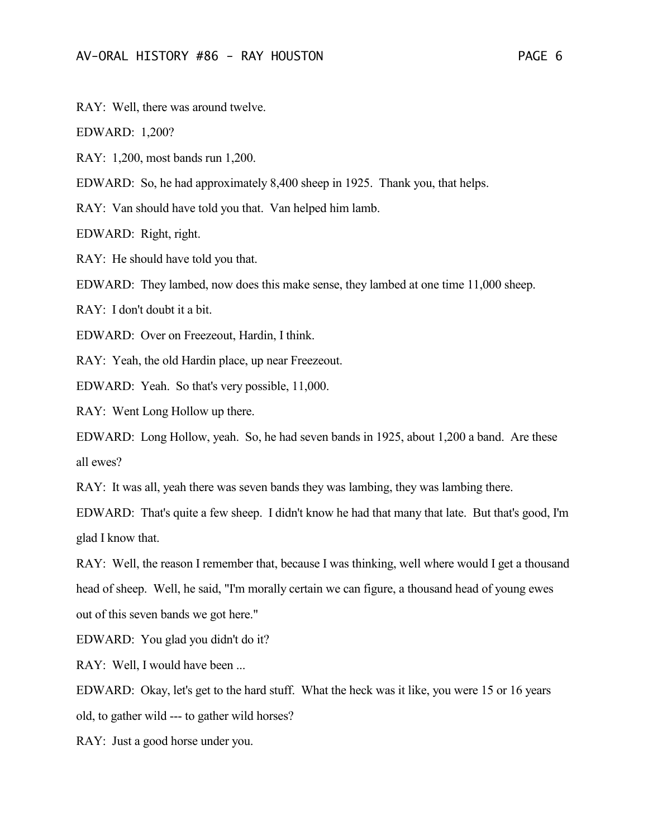RAY: Well, there was around twelve.

EDWARD: 1,200?

RAY: 1,200, most bands run 1,200.

EDWARD: So, he had approximately 8,400 sheep in 1925. Thank you, that helps.

RAY: Van should have told you that. Van helped him lamb.

EDWARD: Right, right.

RAY: He should have told you that.

EDWARD: They lambed, now does this make sense, they lambed at one time 11,000 sheep.

RAY: I don't doubt it a bit.

EDWARD: Over on Freezeout, Hardin, I think.

RAY: Yeah, the old Hardin place, up near Freezeout.

EDWARD: Yeah. So that's very possible, 11,000.

RAY: Went Long Hollow up there.

EDWARD: Long Hollow, yeah. So, he had seven bands in 1925, about 1,200 a band. Are these all ewes?

RAY: It was all, yeah there was seven bands they was lambing, they was lambing there.

EDWARD: That's quite a few sheep. I didn't know he had that many that late. But that's good, I'm glad I know that.

RAY: Well, the reason I remember that, because I was thinking, well where would I get a thousand head of sheep. Well, he said, "I'm morally certain we can figure, a thousand head of young ewes out of this seven bands we got here."

EDWARD: You glad you didn't do it?

RAY: Well, I would have been ...

EDWARD: Okay, let's get to the hard stuff. What the heck was it like, you were 15 or 16 years old, to gather wild --- to gather wild horses?

RAY: Just a good horse under you.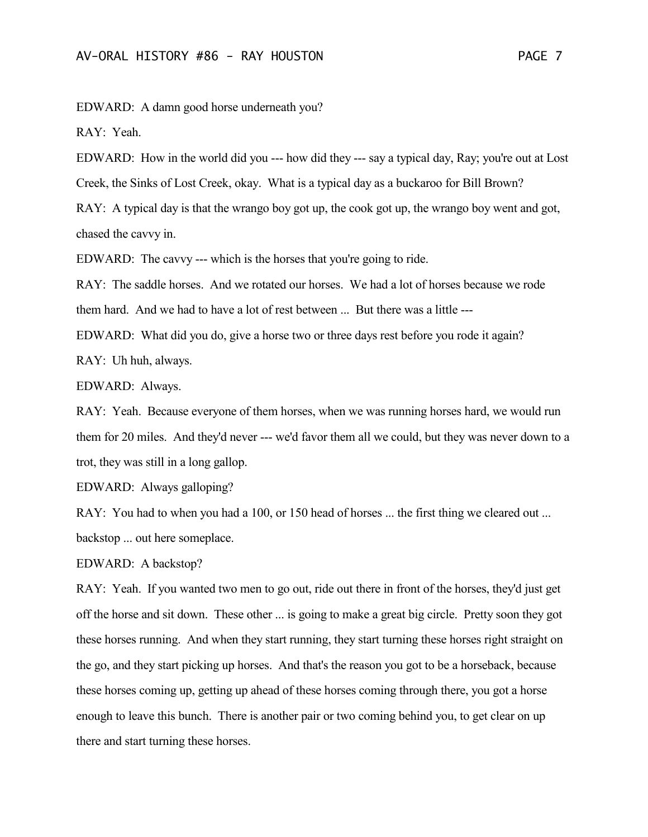EDWARD: A damn good horse underneath you?

RAY: Yeah.

EDWARD: How in the world did you --- how did they --- say a typical day, Ray; you're out at Lost Creek, the Sinks of Lost Creek, okay. What is a typical day as a buckaroo for Bill Brown? RAY: A typical day is that the wrango boy got up, the cook got up, the wrango boy went and got,

chased the cavvy in.

EDWARD: The cavvy --- which is the horses that you're going to ride.

RAY: The saddle horses. And we rotated our horses. We had a lot of horses because we rode them hard. And we had to have a lot of rest between ... But there was a little ---

EDWARD: What did you do, give a horse two or three days rest before you rode it again? RAY: Uh huh, always.

EDWARD: Always.

RAY: Yeah. Because everyone of them horses, when we was running horses hard, we would run them for 20 miles. And they'd never --- we'd favor them all we could, but they was never down to a trot, they was still in a long gallop.

EDWARD: Always galloping?

RAY: You had to when you had a 100, or 150 head of horses ... the first thing we cleared out ... backstop ... out here someplace.

EDWARD: A backstop?

RAY: Yeah. If you wanted two men to go out, ride out there in front of the horses, they'd just get off the horse and sit down. These other ... is going to make a great big circle. Pretty soon they got these horses running. And when they start running, they start turning these horses right straight on the go, and they start picking up horses. And that's the reason you got to be a horseback, because these horses coming up, getting up ahead of these horses coming through there, you got a horse enough to leave this bunch. There is another pair or two coming behind you, to get clear on up there and start turning these horses.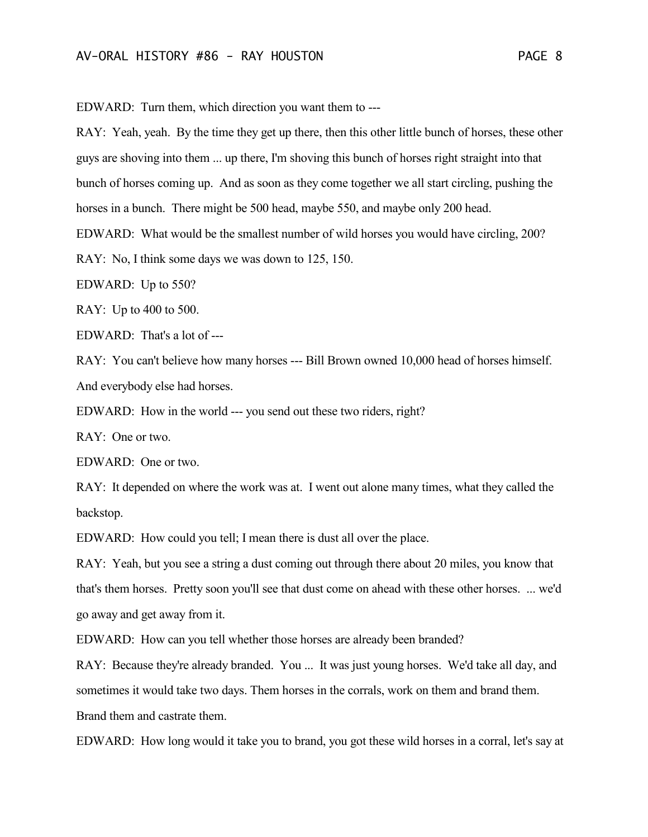EDWARD: Turn them, which direction you want them to ---

RAY: Yeah, yeah. By the time they get up there, then this other little bunch of horses, these other guys are shoving into them ... up there, I'm shoving this bunch of horses right straight into that bunch of horses coming up. And as soon as they come together we all start circling, pushing the horses in a bunch. There might be 500 head, maybe 550, and maybe only 200 head.

EDWARD: What would be the smallest number of wild horses you would have circling, 200?

RAY: No, I think some days we was down to 125, 150.

EDWARD: Up to 550?

RAY: Up to 400 to 500.

EDWARD: That's a lot of ---

RAY: You can't believe how many horses --- Bill Brown owned 10,000 head of horses himself. And everybody else had horses.

EDWARD: How in the world --- you send out these two riders, right?

RAY: One or two.

EDWARD: One or two.

RAY: It depended on where the work was at. I went out alone many times, what they called the backstop.

EDWARD: How could you tell; I mean there is dust all over the place.

RAY: Yeah, but you see a string a dust coming out through there about 20 miles, you know that that's them horses. Pretty soon you'll see that dust come on ahead with these other horses. ... we'd go away and get away from it.

EDWARD: How can you tell whether those horses are already been branded?

RAY: Because they're already branded. You ... It was just young horses. We'd take all day, and sometimes it would take two days. Them horses in the corrals, work on them and brand them. Brand them and castrate them.

EDWARD: How long would it take you to brand, you got these wild horses in a corral, let's say at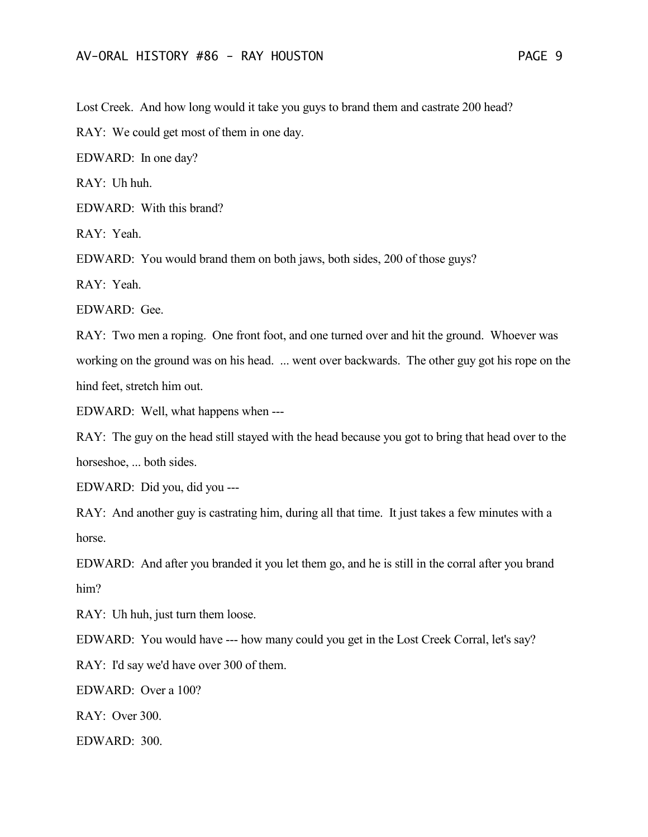Lost Creek. And how long would it take you guys to brand them and castrate 200 head?

RAY: We could get most of them in one day.

EDWARD: In one day?

 $RAY:$  Uh huh.

EDWARD: With this brand?

RAY: Yeah.

EDWARD: You would brand them on both jaws, both sides, 200 of those guys?

RAY: Yeah.

EDWARD: Gee.

RAY: Two men a roping. One front foot, and one turned over and hit the ground. Whoever was working on the ground was on his head. ... went over backwards. The other guy got his rope on the hind feet, stretch him out.

EDWARD: Well, what happens when ---

RAY: The guy on the head still stayed with the head because you got to bring that head over to the horseshoe, ... both sides.

EDWARD: Did you, did you ---

RAY: And another guy is castrating him, during all that time. It just takes a few minutes with a horse.

EDWARD: And after you branded it you let them go, and he is still in the corral after you brand him?

RAY: Uh huh, just turn them loose.

EDWARD: You would have --- how many could you get in the Lost Creek Corral, let's say?

RAY: I'd say we'd have over 300 of them.

EDWARD: Over a 100?

RAY: Over 300.

EDWARD: 300.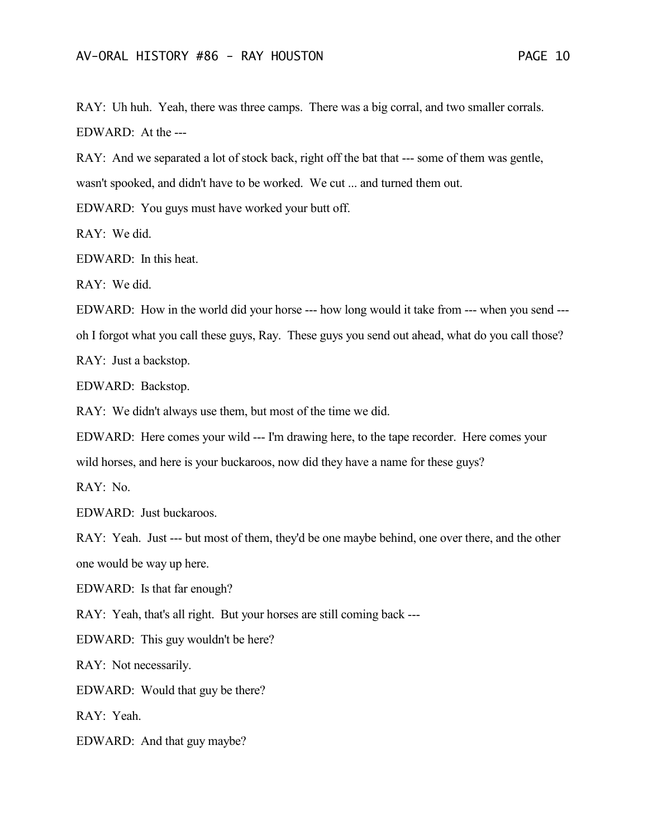RAY: Uh huh. Yeah, there was three camps. There was a big corral, and two smaller corrals. EDWARD: At the ---

RAY: And we separated a lot of stock back, right off the bat that --- some of them was gentle, wasn't spooked, and didn't have to be worked. We cut ... and turned them out.

EDWARD: You guys must have worked your butt off.

RAY: We did.

EDWARD: In this heat.

RAY: We did.

EDWARD: How in the world did your horse --- how long would it take from --- when you send -- oh I forgot what you call these guys, Ray. These guys you send out ahead, what do you call those? RAY: Just a backstop.

EDWARD: Backstop.

RAY: We didn't always use them, but most of the time we did.

EDWARD: Here comes your wild --- I'm drawing here, to the tape recorder. Here comes your

wild horses, and here is your buckaroos, now did they have a name for these guys?

RAY: No.

EDWARD: Just buckaroos.

RAY: Yeah. Just --- but most of them, they'd be one maybe behind, one over there, and the other one would be way up here.

EDWARD: Is that far enough?

RAY: Yeah, that's all right. But your horses are still coming back ---

EDWARD: This guy wouldn't be here?

RAY: Not necessarily.

EDWARD: Would that guy be there?

RAY: Yeah.

EDWARD: And that guy maybe?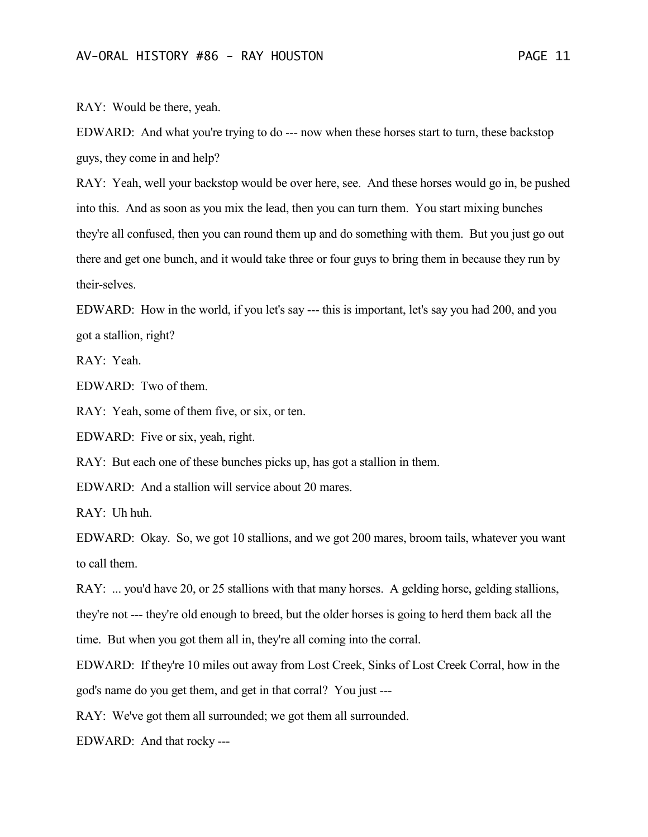RAY: Would be there, yeah.

EDWARD: And what you're trying to do --- now when these horses start to turn, these backstop guys, they come in and help?

RAY: Yeah, well your backstop would be over here, see. And these horses would go in, be pushed into this. And as soon as you mix the lead, then you can turn them. You start mixing bunches they're all confused, then you can round them up and do something with them. But you just go out there and get one bunch, and it would take three or four guys to bring them in because they run by their-selves.

EDWARD: How in the world, if you let's say --- this is important, let's say you had 200, and you got a stallion, right?

RAY: Yeah.

EDWARD: Two of them.

RAY: Yeah, some of them five, or six, or ten.

EDWARD: Five or six, yeah, right.

RAY: But each one of these bunches picks up, has got a stallion in them.

EDWARD: And a stallion will service about 20 mares.

RAY: Uh huh.

EDWARD: Okay. So, we got 10 stallions, and we got 200 mares, broom tails, whatever you want to call them.

RAY: ... you'd have 20, or 25 stallions with that many horses. A gelding horse, gelding stallions,

they're not --- they're old enough to breed, but the older horses is going to herd them back all the

time. But when you got them all in, they're all coming into the corral.

EDWARD: If they're 10 miles out away from Lost Creek, Sinks of Lost Creek Corral, how in the god's name do you get them, and get in that corral? You just ---

RAY: We've got them all surrounded; we got them all surrounded.

EDWARD: And that rocky ---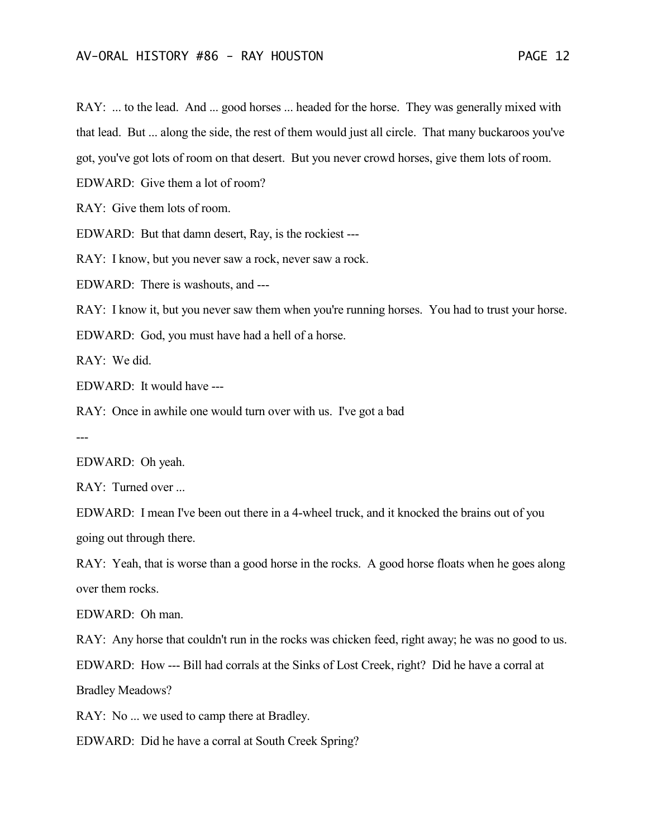RAY: ... to the lead. And ... good horses ... headed for the horse. They was generally mixed with that lead. But ... along the side, the rest of them would just all circle. That many buckaroos you've got, you've got lots of room on that desert. But you never crowd horses, give them lots of room.

EDWARD: Give them a lot of room?

RAY: Give them lots of room.

EDWARD: But that damn desert, Ray, is the rockiest ---

RAY: I know, but you never saw a rock, never saw a rock.

EDWARD: There is washouts, and ---

RAY: I know it, but you never saw them when you're running horses. You had to trust your horse.

EDWARD: God, you must have had a hell of a horse.

RAY: We did.

EDWARD: It would have ---

RAY: Once in awhile one would turn over with us. I've got a bad

---

EDWARD: Oh yeah.

RAY: Turned over ...

EDWARD: I mean I've been out there in a 4-wheel truck, and it knocked the brains out of you going out through there.

RAY: Yeah, that is worse than a good horse in the rocks. A good horse floats when he goes along over them rocks.

EDWARD: Oh man.

RAY: Any horse that couldn't run in the rocks was chicken feed, right away; he was no good to us.

EDWARD: How --- Bill had corrals at the Sinks of Lost Creek, right? Did he have a corral at Bradley Meadows?

RAY: No ... we used to camp there at Bradley.

EDWARD: Did he have a corral at South Creek Spring?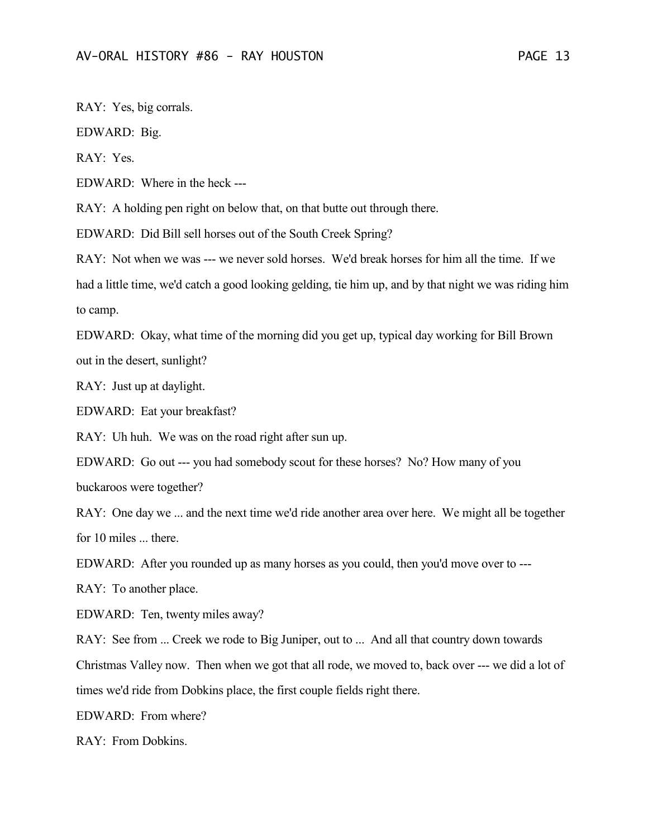RAY: Yes, big corrals.

EDWARD: Big.

RAY: Yes.

EDWARD: Where in the heck ---

RAY: A holding pen right on below that, on that butte out through there.

EDWARD: Did Bill sell horses out of the South Creek Spring?

RAY: Not when we was --- we never sold horses. We'd break horses for him all the time. If we had a little time, we'd catch a good looking gelding, tie him up, and by that night we was riding him to camp.

EDWARD: Okay, what time of the morning did you get up, typical day working for Bill Brown out in the desert, sunlight?

RAY: Just up at daylight.

EDWARD: Eat your breakfast?

RAY: Uh huh. We was on the road right after sun up.

EDWARD: Go out --- you had somebody scout for these horses? No? How many of you buckaroos were together?

RAY: One day we ... and the next time we'd ride another area over here. We might all be together for 10 miles ... there.

EDWARD: After you rounded up as many horses as you could, then you'd move over to ---

RAY: To another place.

EDWARD: Ten, twenty miles away?

RAY: See from ... Creek we rode to Big Juniper, out to ... And all that country down towards Christmas Valley now. Then when we got that all rode, we moved to, back over --- we did a lot of times we'd ride from Dobkins place, the first couple fields right there.

EDWARD: From where?

RAY: From Dobkins.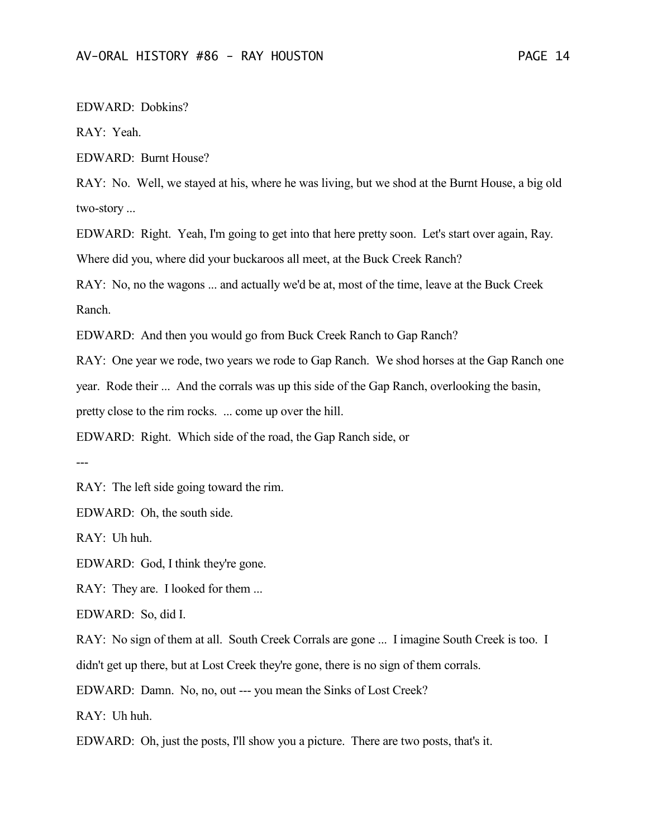EDWARD: Dobkins?

RAY: Yeah.

EDWARD: Burnt House?

RAY: No. Well, we stayed at his, where he was living, but we shod at the Burnt House, a big old two-story ...

EDWARD: Right. Yeah, I'm going to get into that here pretty soon. Let's start over again, Ray. Where did you, where did your buckaroos all meet, at the Buck Creek Ranch?

RAY: No, no the wagons ... and actually we'd be at, most of the time, leave at the Buck Creek Ranch.

EDWARD: And then you would go from Buck Creek Ranch to Gap Ranch?

RAY: One year we rode, two years we rode to Gap Ranch. We shod horses at the Gap Ranch one

year. Rode their ... And the corrals was up this side of the Gap Ranch, overlooking the basin,

pretty close to the rim rocks. ... come up over the hill.

EDWARD: Right. Which side of the road, the Gap Ranch side, or

---

RAY: The left side going toward the rim.

EDWARD: Oh, the south side.

RAY: Uh huh.

EDWARD: God, I think they're gone.

RAY: They are. I looked for them ...

EDWARD: So, did I.

RAY: No sign of them at all. South Creek Corrals are gone ... I imagine South Creek is too. I didn't get up there, but at Lost Creek they're gone, there is no sign of them corrals.

EDWARD: Damn. No, no, out --- you mean the Sinks of Lost Creek?

RAY: Uh huh.

EDWARD: Oh, just the posts, I'll show you a picture. There are two posts, that's it.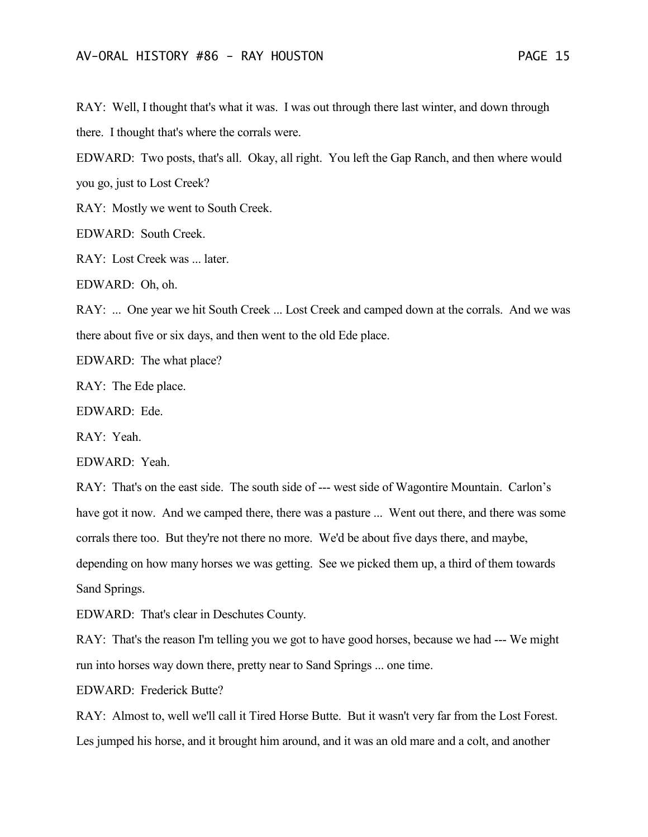RAY: Well, I thought that's what it was. I was out through there last winter, and down through there. I thought that's where the corrals were.

EDWARD: Two posts, that's all. Okay, all right. You left the Gap Ranch, and then where would you go, just to Lost Creek?

RAY: Mostly we went to South Creek.

EDWARD: South Creek.

RAY: Lost Creek was ... later.

EDWARD: Oh, oh.

RAY: ... One year we hit South Creek ... Lost Creek and camped down at the corrals. And we was there about five or six days, and then went to the old Ede place.

EDWARD: The what place?

RAY: The Ede place.

EDWARD: Ede.

RAY: Yeah.

EDWARD: Yeah.

RAY: That's on the east side. The south side of --- west side of Wagontire Mountain. Carlon's have got it now. And we camped there, there was a pasture ... Went out there, and there was some corrals there too. But they're not there no more. We'd be about five days there, and maybe, depending on how many horses we was getting. See we picked them up, a third of them towards Sand Springs.

EDWARD: That's clear in Deschutes County.

RAY: That's the reason I'm telling you we got to have good horses, because we had --- We might run into horses way down there, pretty near to Sand Springs ... one time.

EDWARD: Frederick Butte?

RAY: Almost to, well we'll call it Tired Horse Butte. But it wasn't very far from the Lost Forest. Les jumped his horse, and it brought him around, and it was an old mare and a colt, and another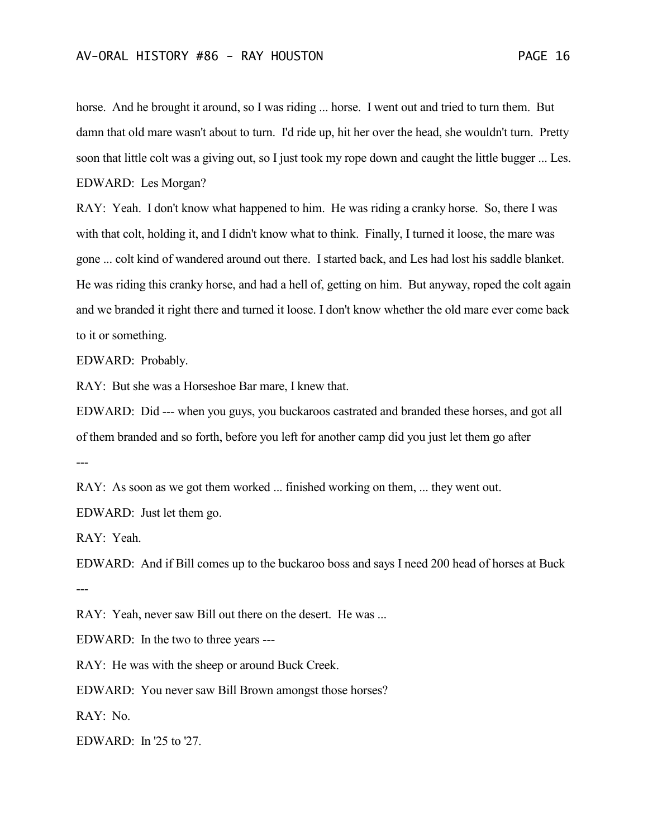horse. And he brought it around, so I was riding ... horse. I went out and tried to turn them. But damn that old mare wasn't about to turn. I'd ride up, hit her over the head, she wouldn't turn. Pretty soon that little colt was a giving out, so I just took my rope down and caught the little bugger ... Les. EDWARD: Les Morgan?

RAY: Yeah. I don't know what happened to him. He was riding a cranky horse. So, there I was with that colt, holding it, and I didn't know what to think. Finally, I turned it loose, the mare was gone ... colt kind of wandered around out there. I started back, and Les had lost his saddle blanket. He was riding this cranky horse, and had a hell of, getting on him. But anyway, roped the colt again and we branded it right there and turned it loose. I don't know whether the old mare ever come back to it or something.

EDWARD: Probably.

RAY: But she was a Horseshoe Bar mare, I knew that.

EDWARD: Did --- when you guys, you buckaroos castrated and branded these horses, and got all of them branded and so forth, before you left for another camp did you just let them go after ---

RAY: As soon as we got them worked ... finished working on them, ... they went out.

EDWARD: Just let them go.

RAY: Yeah.

EDWARD: And if Bill comes up to the buckaroo boss and says I need 200 head of horses at Buck ---

RAY: Yeah, never saw Bill out there on the desert. He was ...

EDWARD: In the two to three years ---

RAY: He was with the sheep or around Buck Creek.

EDWARD: You never saw Bill Brown amongst those horses?

RAY: No.

EDWARD: In '25 to '27.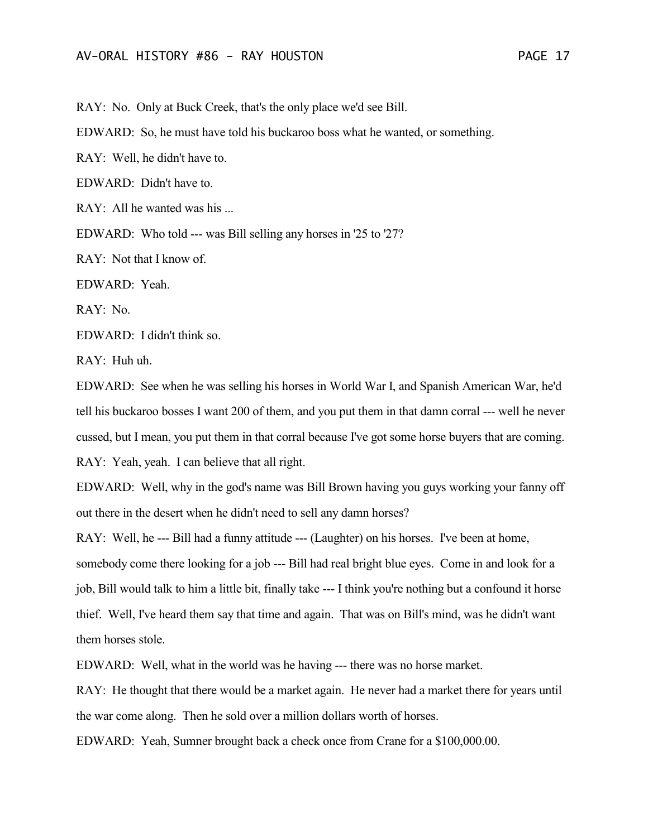RAY: No. Only at Buck Creek, that's the only place we'd see Bill.

EDWARD: So, he must have told his buckaroo boss what he wanted, or something.

RAY: Well, he didn't have to.

EDWARD: Didn't have to.

RAY: All he wanted was his ...

EDWARD: Who told --- was Bill selling any horses in '25 to '27?

RAY: Not that I know of.

EDWARD: Yeah.

RAY: No.

EDWARD: I didn't think so.

RAY: Huh uh.

EDWARD: See when he was selling his horses in World War I, and Spanish American War, he'd tell his buckaroo bosses I want 200 of them, and you put them in that damn corral --- well he never cussed, but I mean, you put them in that corral because I've got some horse buyers that are coming. RAY: Yeah, yeah. I can believe that all right.

EDWARD: Well, why in the god's name was Bill Brown having you guys working your fanny off out there in the desert when he didn't need to sell any damn horses?

RAY: Well, he --- Bill had a funny attitude --- (Laughter) on his horses. I've been at home, somebody come there looking for a job --- Bill had real bright blue eyes. Come in and look for a job, Bill would talk to him a little bit, finally take --- I think you're nothing but a confound it horse thief. Well, I've heard them say that time and again. That was on Bill's mind, was he didn't want them horses stole.

EDWARD: Well, what in the world was he having --- there was no horse market.

RAY: He thought that there would be a market again. He never had a market there for years until the war come along. Then he sold over a million dollars worth of horses.

EDWARD: Yeah, Sumner brought back a check once from Crane for a \$100,000.00.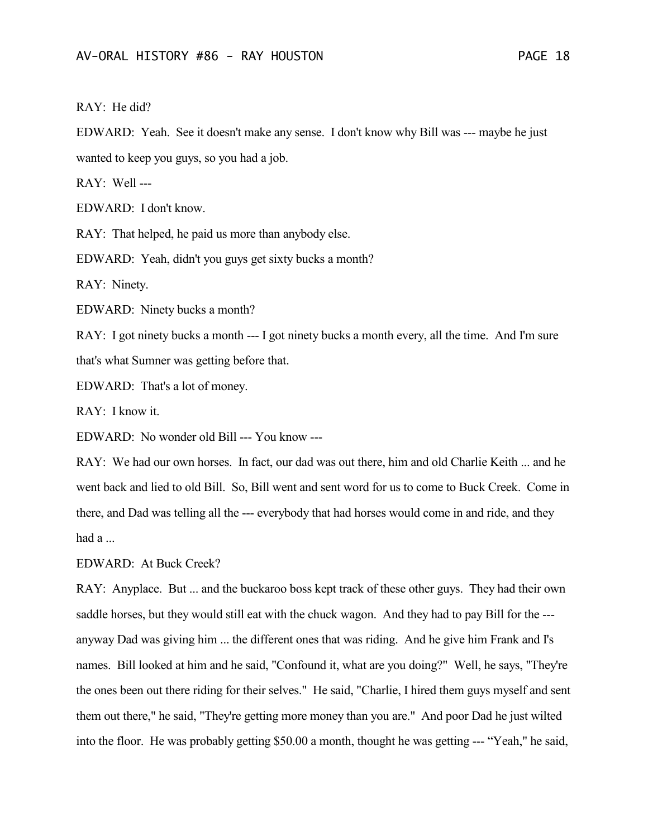RAY: He did?

EDWARD: Yeah. See it doesn't make any sense. I don't know why Bill was --- maybe he just wanted to keep you guys, so you had a job.

RAY: Well ---

EDWARD: I don't know.

RAY: That helped, he paid us more than anybody else.

EDWARD: Yeah, didn't you guys get sixty bucks a month?

RAY: Ninety.

EDWARD: Ninety bucks a month?

RAY: I got ninety bucks a month --- I got ninety bucks a month every, all the time. And I'm sure that's what Sumner was getting before that.

EDWARD: That's a lot of money.

RAY: I know it.

EDWARD: No wonder old Bill --- You know ---

RAY: We had our own horses. In fact, our dad was out there, him and old Charlie Keith ... and he went back and lied to old Bill. So, Bill went and sent word for us to come to Buck Creek. Come in there, and Dad was telling all the --- everybody that had horses would come in and ride, and they had a ...

EDWARD: At Buck Creek?

RAY: Anyplace. But ... and the buckaroo boss kept track of these other guys. They had their own saddle horses, but they would still eat with the chuck wagon. And they had to pay Bill for the -- anyway Dad was giving him ... the different ones that was riding. And he give him Frank and I's names. Bill looked at him and he said, "Confound it, what are you doing?" Well, he says, "They're the ones been out there riding for their selves." He said, "Charlie, I hired them guys myself and sent them out there," he said, "They're getting more money than you are." And poor Dad he just wilted into the floor. He was probably getting \$50.00 a month, thought he was getting --- "Yeah," he said,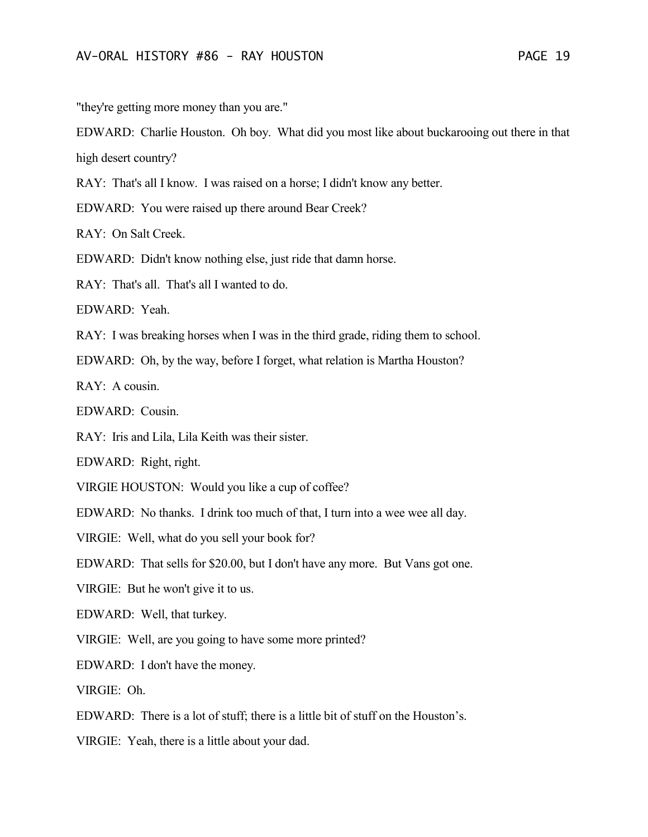"they're getting more money than you are."

EDWARD: Charlie Houston. Oh boy. What did you most like about buckarooing out there in that high desert country?

RAY: That's all I know. I was raised on a horse; I didn't know any better.

EDWARD: You were raised up there around Bear Creek?

RAY: On Salt Creek.

EDWARD: Didn't know nothing else, just ride that damn horse.

RAY: That's all. That's all I wanted to do.

EDWARD: Yeah.

RAY: I was breaking horses when I was in the third grade, riding them to school.

EDWARD: Oh, by the way, before I forget, what relation is Martha Houston?

 $RAY$ <sup> $\cdot$ </sup> A cousin.

EDWARD: Cousin.

RAY: Iris and Lila, Lila Keith was their sister.

EDWARD: Right, right.

VIRGIE HOUSTON: Would you like a cup of coffee?

EDWARD: No thanks. I drink too much of that, I turn into a wee wee all day.

VIRGIE: Well, what do you sell your book for?

EDWARD: That sells for \$20.00, but I don't have any more. But Vans got one.

VIRGIE: But he won't give it to us.

EDWARD: Well, that turkey.

VIRGIE: Well, are you going to have some more printed?

EDWARD: I don't have the money.

VIRGIE: Oh.

EDWARD: There is a lot of stuff; there is a little bit of stuff on the Houston's.

VIRGIE: Yeah, there is a little about your dad.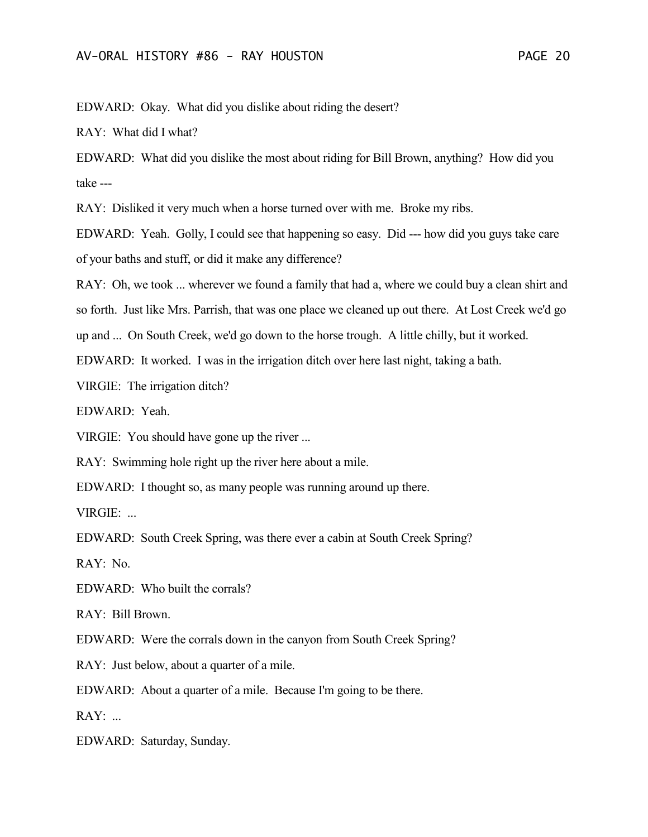EDWARD: Okay. What did you dislike about riding the desert?

RAY: What did I what?

EDWARD: What did you dislike the most about riding for Bill Brown, anything? How did you take ---

RAY: Disliked it very much when a horse turned over with me. Broke my ribs.

EDWARD: Yeah. Golly, I could see that happening so easy. Did --- how did you guys take care of your baths and stuff, or did it make any difference?

RAY: Oh, we took ... wherever we found a family that had a, where we could buy a clean shirt and

so forth. Just like Mrs. Parrish, that was one place we cleaned up out there. At Lost Creek we'd go

up and ... On South Creek, we'd go down to the horse trough. A little chilly, but it worked.

EDWARD: It worked. I was in the irrigation ditch over here last night, taking a bath.

VIRGIE: The irrigation ditch?

EDWARD: Yeah.

VIRGIE: You should have gone up the river ...

RAY: Swimming hole right up the river here about a mile.

EDWARD: I thought so, as many people was running around up there.

VIRGIE: ...

EDWARD: South Creek Spring, was there ever a cabin at South Creek Spring?

RAY: No.

EDWARD: Who built the corrals?

RAY: Bill Brown.

EDWARD: Were the corrals down in the canyon from South Creek Spring?

RAY: Just below, about a quarter of a mile.

EDWARD: About a quarter of a mile. Because I'm going to be there.

RAY: ...

EDWARD: Saturday, Sunday.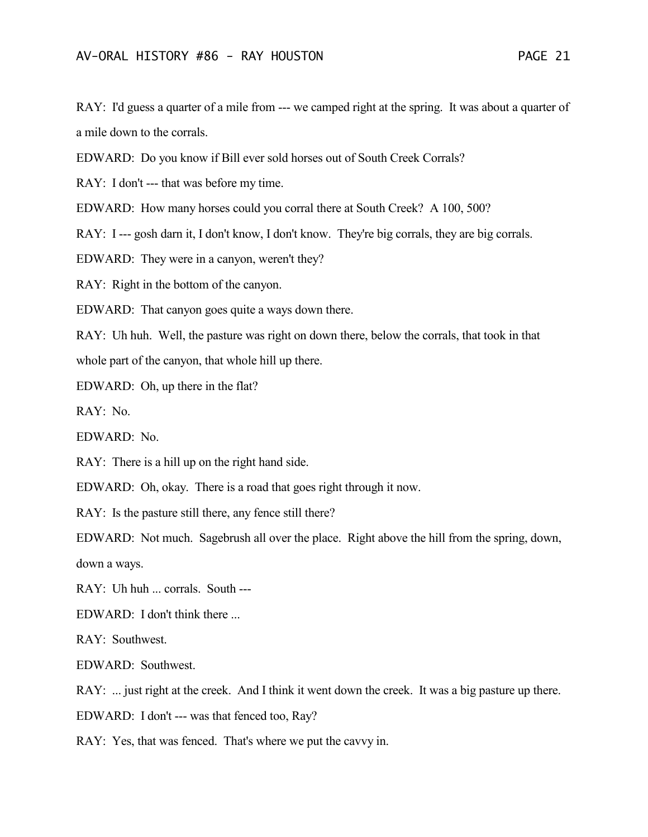RAY: I'd guess a quarter of a mile from --- we camped right at the spring. It was about a quarter of a mile down to the corrals.

EDWARD: Do you know if Bill ever sold horses out of South Creek Corrals?

RAY: I don't --- that was before my time.

EDWARD: How many horses could you corral there at South Creek? A 100, 500?

RAY: I --- gosh darn it, I don't know, I don't know. They're big corrals, they are big corrals.

EDWARD: They were in a canyon, weren't they?

RAY: Right in the bottom of the canyon.

EDWARD: That canyon goes quite a ways down there.

RAY: Uh huh. Well, the pasture was right on down there, below the corrals, that took in that whole part of the canyon, that whole hill up there.

EDWARD: Oh, up there in the flat?

RAY: No.

EDWARD: No.

RAY: There is a hill up on the right hand side.

EDWARD: Oh, okay. There is a road that goes right through it now.

RAY: Is the pasture still there, any fence still there?

EDWARD: Not much. Sagebrush all over the place. Right above the hill from the spring, down, down a ways.

RAY: Uh huh ... corrals. South ---

EDWARD: I don't think there ...

RAY: Southwest.

EDWARD: Southwest.

RAY: ... just right at the creek. And I think it went down the creek. It was a big pasture up there.

EDWARD: I don't --- was that fenced too, Ray?

RAY: Yes, that was fenced. That's where we put the cavvy in.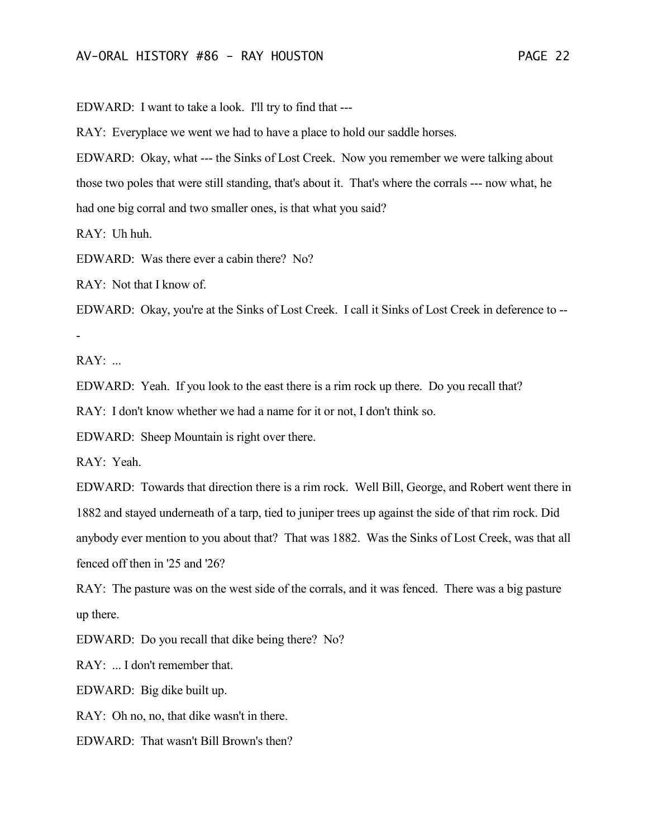EDWARD: I want to take a look. I'll try to find that ---

RAY: Everyplace we went we had to have a place to hold our saddle horses.

EDWARD: Okay, what --- the Sinks of Lost Creek. Now you remember we were talking about those two poles that were still standing, that's about it. That's where the corrals --- now what, he had one big corral and two smaller ones, is that what you said?

RAY: Uh huh.

EDWARD: Was there ever a cabin there? No?

RAY: Not that I know of.

EDWARD: Okay, you're at the Sinks of Lost Creek. I call it Sinks of Lost Creek in deference to --

RAY: ...

-

EDWARD: Yeah. If you look to the east there is a rim rock up there. Do you recall that?

RAY: I don't know whether we had a name for it or not, I don't think so.

EDWARD: Sheep Mountain is right over there.

RAY: Yeah.

EDWARD: Towards that direction there is a rim rock. Well Bill, George, and Robert went there in 1882 and stayed underneath of a tarp, tied to juniper trees up against the side of that rim rock. Did anybody ever mention to you about that? That was 1882. Was the Sinks of Lost Creek, was that all fenced off then in '25 and '26?

RAY: The pasture was on the west side of the corrals, and it was fenced. There was a big pasture up there.

EDWARD: Do you recall that dike being there? No?

RAY: ... I don't remember that.

EDWARD: Big dike built up.

RAY: Oh no, no, that dike wasn't in there.

EDWARD: That wasn't Bill Brown's then?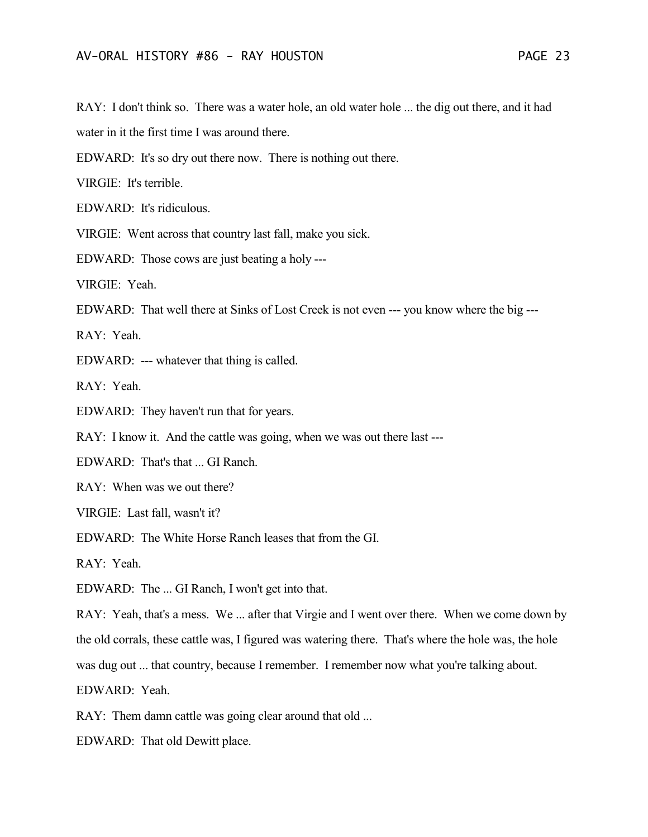RAY: I don't think so. There was a water hole, an old water hole ... the dig out there, and it had water in it the first time I was around there.

EDWARD: It's so dry out there now. There is nothing out there.

VIRGIE: It's terrible.

EDWARD: It's ridiculous.

VIRGIE: Went across that country last fall, make you sick.

EDWARD: Those cows are just beating a holy ---

VIRGIE: Yeah.

EDWARD: That well there at Sinks of Lost Creek is not even --- you know where the big ---

RAY: Yeah.

EDWARD: --- whatever that thing is called.

RAY: Yeah.

EDWARD: They haven't run that for years.

RAY: I know it. And the cattle was going, when we was out there last ---

EDWARD: That's that ... GI Ranch.

RAY: When was we out there?

VIRGIE: Last fall, wasn't it?

EDWARD: The White Horse Ranch leases that from the GI.

RAY: Yeah.

EDWARD: The ... GI Ranch, I won't get into that.

RAY: Yeah, that's a mess. We ... after that Virgie and I went over there. When we come down by the old corrals, these cattle was, I figured was watering there. That's where the hole was, the hole

was dug out ... that country, because I remember. I remember now what you're talking about.

EDWARD: Yeah.

RAY: Them damn cattle was going clear around that old ...

EDWARD: That old Dewitt place.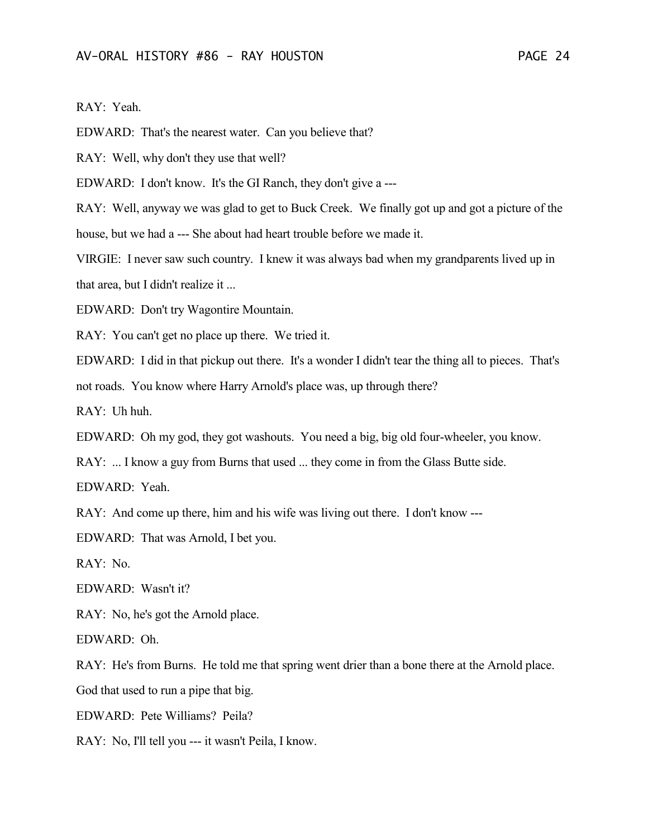RAY: Yeah.

EDWARD: That's the nearest water. Can you believe that?

RAY: Well, why don't they use that well?

EDWARD: I don't know. It's the GI Ranch, they don't give a ---

RAY: Well, anyway we was glad to get to Buck Creek. We finally got up and got a picture of the

house, but we had a --- She about had heart trouble before we made it.

VIRGIE: I never saw such country. I knew it was always bad when my grandparents lived up in that area, but I didn't realize it ...

EDWARD: Don't try Wagontire Mountain.

RAY: You can't get no place up there. We tried it.

EDWARD: I did in that pickup out there. It's a wonder I didn't tear the thing all to pieces. That's

not roads. You know where Harry Arnold's place was, up through there?

RAY: Uh huh.

EDWARD: Oh my god, they got washouts. You need a big, big old four-wheeler, you know.

RAY: ... I know a guy from Burns that used ... they come in from the Glass Butte side.

EDWARD: Yeah.

RAY: And come up there, him and his wife was living out there. I don't know ---

EDWARD: That was Arnold, I bet you.

RAY: No.

EDWARD: Wasn't it?

RAY: No, he's got the Arnold place.

EDWARD: Oh.

RAY: He's from Burns. He told me that spring went drier than a bone there at the Arnold place.

God that used to run a pipe that big.

EDWARD: Pete Williams? Peila?

RAY: No, I'll tell you --- it wasn't Peila, I know.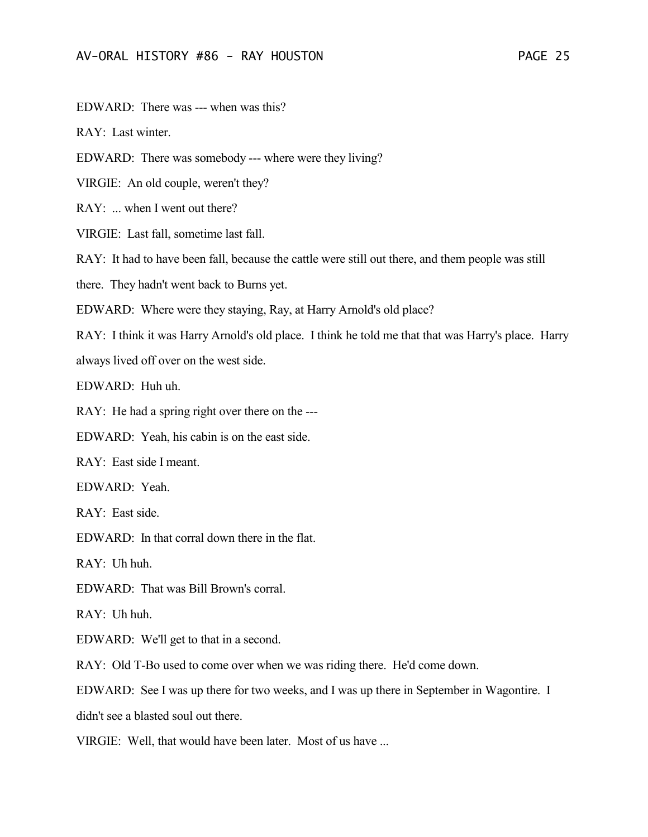EDWARD: There was --- when was this?

RAY: Last winter.

EDWARD: There was somebody --- where were they living?

VIRGIE: An old couple, weren't they?

RAY: ... when I went out there?

VIRGIE: Last fall, sometime last fall.

RAY: It had to have been fall, because the cattle were still out there, and them people was still

there. They hadn't went back to Burns yet.

EDWARD: Where were they staying, Ray, at Harry Arnold's old place?

RAY: I think it was Harry Arnold's old place. I think he told me that that was Harry's place. Harry always lived off over on the west side.

EDWARD: Huh uh.

RAY: He had a spring right over there on the ---

EDWARD: Yeah, his cabin is on the east side.

RAY: East side I meant.

EDWARD: Yeah.

RAY: East side.

EDWARD: In that corral down there in the flat.

RAY: Uh huh.

EDWARD: That was Bill Brown's corral.

RAY: Uh huh.

EDWARD: We'll get to that in a second.

RAY: Old T-Bo used to come over when we was riding there. He'd come down.

EDWARD: See I was up there for two weeks, and I was up there in September in Wagontire. I

didn't see a blasted soul out there.

VIRGIE: Well, that would have been later. Most of us have ...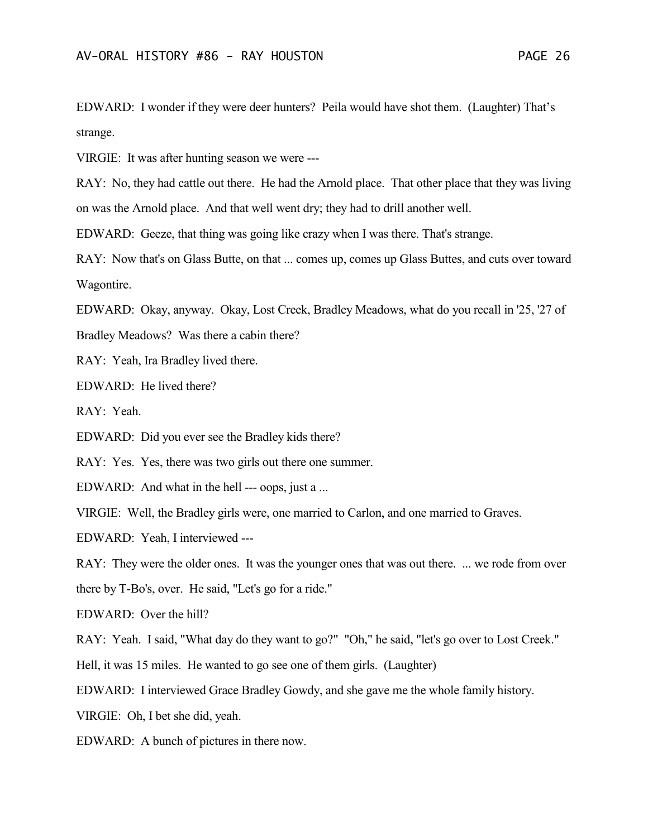EDWARD: I wonder if they were deer hunters? Peila would have shot them. (Laughter) That's strange.

VIRGIE: It was after hunting season we were ---

RAY: No, they had cattle out there. He had the Arnold place. That other place that they was living on was the Arnold place. And that well went dry; they had to drill another well.

EDWARD: Geeze, that thing was going like crazy when I was there. That's strange.

RAY: Now that's on Glass Butte, on that ... comes up, comes up Glass Buttes, and cuts over toward Wagontire.

EDWARD: Okay, anyway. Okay, Lost Creek, Bradley Meadows, what do you recall in '25, '27 of

Bradley Meadows? Was there a cabin there?

RAY: Yeah, Ira Bradley lived there.

EDWARD: He lived there?

RAY: Yeah.

EDWARD: Did you ever see the Bradley kids there?

RAY: Yes. Yes, there was two girls out there one summer.

EDWARD: And what in the hell --- oops, just a ...

VIRGIE: Well, the Bradley girls were, one married to Carlon, and one married to Graves.

EDWARD: Yeah, I interviewed ---

RAY: They were the older ones. It was the younger ones that was out there. ... we rode from over

there by T-Bo's, over. He said, "Let's go for a ride."

EDWARD: Over the hill?

RAY: Yeah. I said, "What day do they want to go?" "Oh," he said, "let's go over to Lost Creek."

Hell, it was 15 miles. He wanted to go see one of them girls. (Laughter)

EDWARD: I interviewed Grace Bradley Gowdy, and she gave me the whole family history.

VIRGIE: Oh, I bet she did, yeah.

EDWARD: A bunch of pictures in there now.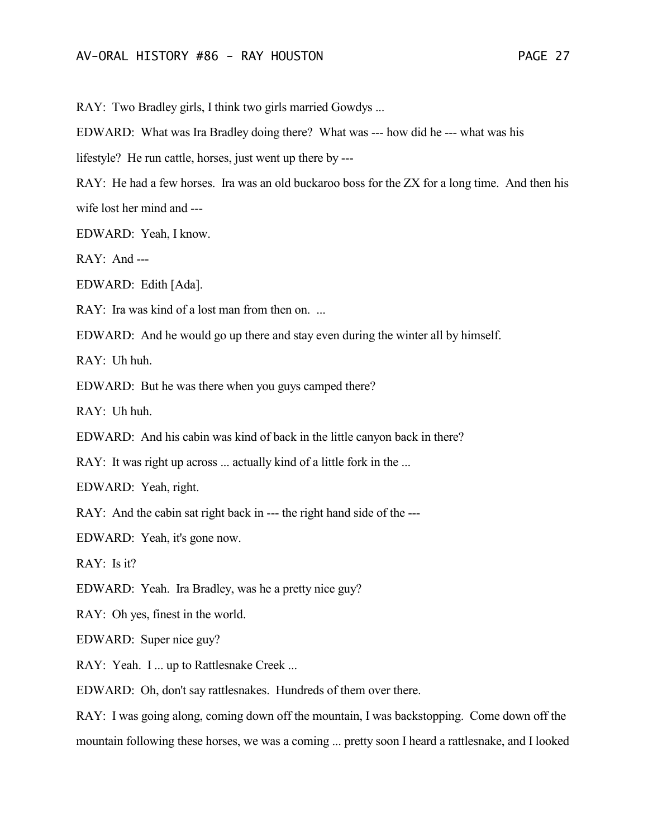RAY: Two Bradley girls, I think two girls married Gowdys ...

EDWARD: What was Ira Bradley doing there? What was --- how did he --- what was his

lifestyle? He run cattle, horses, just went up there by ---

RAY: He had a few horses. Ira was an old buckaroo boss for the ZX for a long time. And then his wife lost her mind and ---

EDWARD: Yeah, I know.

RAY: And ---

EDWARD: Edith [Ada].

RAY: Ira was kind of a lost man from then on. ...

EDWARD: And he would go up there and stay even during the winter all by himself.

RAY: Uh huh.

EDWARD: But he was there when you guys camped there?

RAY: Uh huh.

EDWARD: And his cabin was kind of back in the little canyon back in there?

RAY: It was right up across ... actually kind of a little fork in the ...

EDWARD: Yeah, right.

RAY: And the cabin sat right back in --- the right hand side of the ---

EDWARD: Yeah, it's gone now.

RAY: Is it?

EDWARD: Yeah. Ira Bradley, was he a pretty nice guy?

RAY: Oh yes, finest in the world.

EDWARD: Super nice guy?

RAY: Yeah. I ... up to Rattlesnake Creek ...

EDWARD: Oh, don't say rattlesnakes. Hundreds of them over there.

RAY: I was going along, coming down off the mountain, I was backstopping. Come down off the mountain following these horses, we was a coming ... pretty soon I heard a rattlesnake, and I looked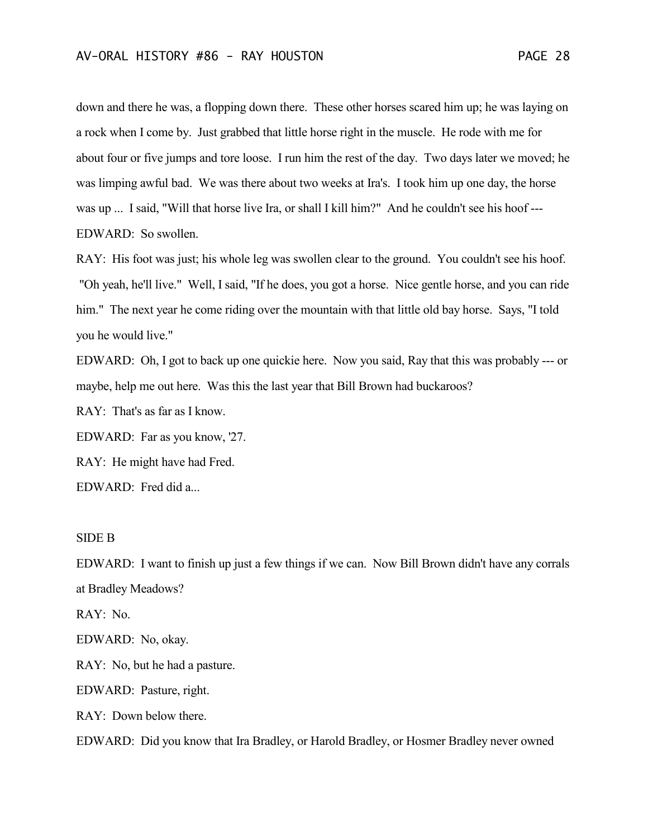down and there he was, a flopping down there. These other horses scared him up; he was laying on a rock when I come by. Just grabbed that little horse right in the muscle. He rode with me for about four or five jumps and tore loose. I run him the rest of the day. Two days later we moved; he was limping awful bad. We was there about two weeks at Ira's. I took him up one day, the horse was up ... I said, "Will that horse live Ira, or shall I kill him?" And he couldn't see his hoof --- EDWARD: So swollen.

RAY: His foot was just; his whole leg was swollen clear to the ground. You couldn't see his hoof. "Oh yeah, he'll live." Well, I said, "If he does, you got a horse. Nice gentle horse, and you can ride him." The next year he come riding over the mountain with that little old bay horse. Says, "I told you he would live."

EDWARD: Oh, I got to back up one quickie here. Now you said, Ray that this was probably --- or maybe, help me out here. Was this the last year that Bill Brown had buckaroos?

RAY: That's as far as I know.

EDWARD: Far as you know, '27.

RAY: He might have had Fred.

EDWARD: Fred did a...

## SIDE B

EDWARD: I want to finish up just a few things if we can. Now Bill Brown didn't have any corrals at Bradley Meadows?

RAY: No.

EDWARD: No, okay.

RAY: No, but he had a pasture.

EDWARD: Pasture, right.

RAY: Down below there.

EDWARD: Did you know that Ira Bradley, or Harold Bradley, or Hosmer Bradley never owned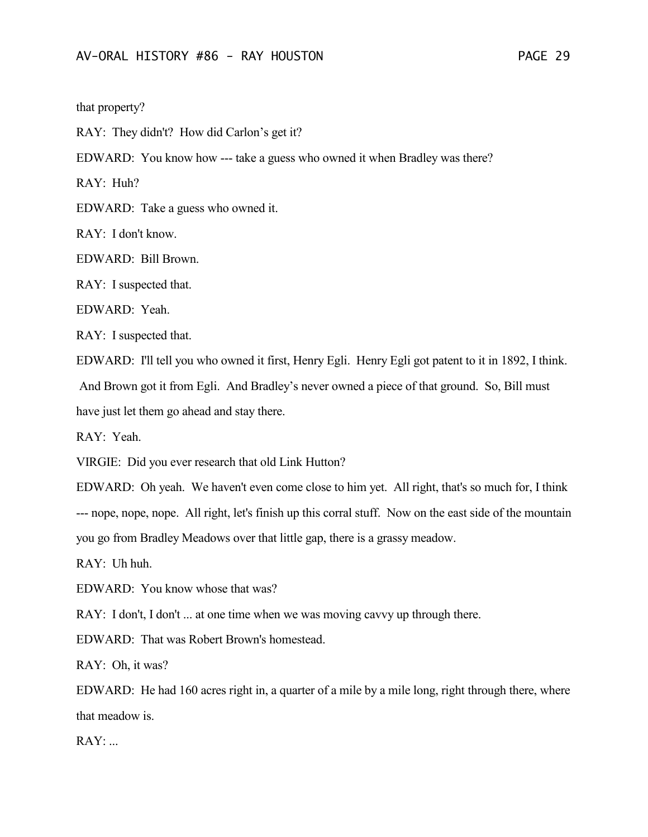that property?

RAY: They didn't? How did Carlon's get it?

EDWARD: You know how --- take a guess who owned it when Bradley was there?

RAY: Huh?

EDWARD: Take a guess who owned it.

RAY: I don't know.

EDWARD: Bill Brown.

RAY: I suspected that.

EDWARD: Yeah.

RAY: I suspected that.

EDWARD: I'll tell you who owned it first, Henry Egli. Henry Egli got patent to it in 1892, I think. And Brown got it from Egli. And Bradley's never owned a piece of that ground. So, Bill must have just let them go ahead and stay there.

RAY: Yeah.

VIRGIE: Did you ever research that old Link Hutton?

EDWARD: Oh yeah. We haven't even come close to him yet. All right, that's so much for, I think --- nope, nope, nope. All right, let's finish up this corral stuff. Now on the east side of the mountain you go from Bradley Meadows over that little gap, there is a grassy meadow.

RAY: Uh huh.

EDWARD: You know whose that was?

RAY: I don't, I don't ... at one time when we was moving cavvy up through there.

EDWARD: That was Robert Brown's homestead.

RAY: Oh, it was?

EDWARD: He had 160 acres right in, a quarter of a mile by a mile long, right through there, where that meadow is.

 $RAY$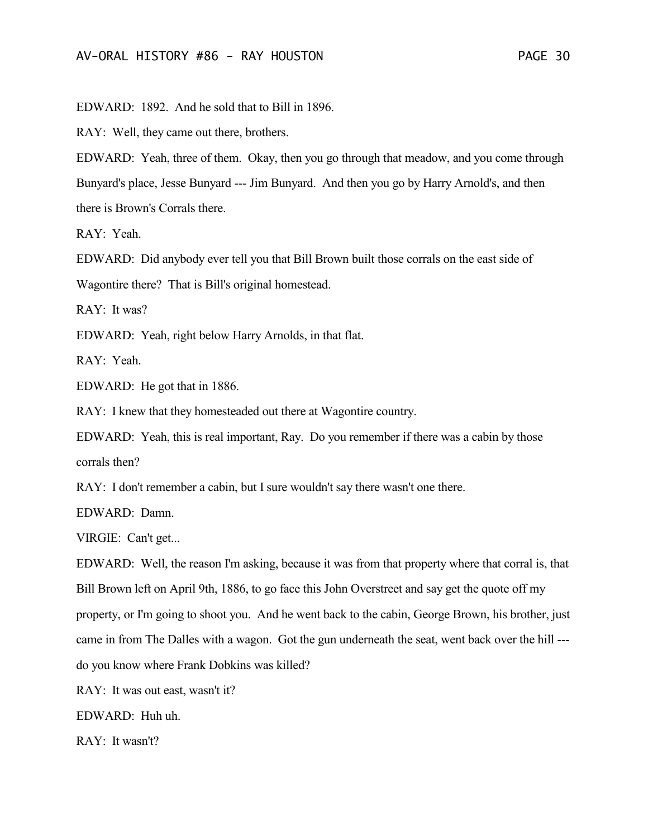EDWARD: 1892. And he sold that to Bill in 1896.

RAY: Well, they came out there, brothers.

EDWARD: Yeah, three of them. Okay, then you go through that meadow, and you come through Bunyard's place, Jesse Bunyard --- Jim Bunyard. And then you go by Harry Arnold's, and then there is Brown's Corrals there.

RAY: Yeah.

EDWARD: Did anybody ever tell you that Bill Brown built those corrals on the east side of

Wagontire there? That is Bill's original homestead.

RAY: It was?

EDWARD: Yeah, right below Harry Arnolds, in that flat.

RAY: Yeah.

EDWARD: He got that in 1886.

RAY: I knew that they homesteaded out there at Wagontire country.

EDWARD: Yeah, this is real important, Ray. Do you remember if there was a cabin by those corrals then?

RAY: I don't remember a cabin, but I sure wouldn't say there wasn't one there.

EDWARD: Damn.

VIRGIE: Can't get...

EDWARD: Well, the reason I'm asking, because it was from that property where that corral is, that Bill Brown left on April 9th, 1886, to go face this John Overstreet and say get the quote off my property, or I'm going to shoot you. And he went back to the cabin, George Brown, his brother, just came in from The Dalles with a wagon. Got the gun underneath the seat, went back over the hill -- do you know where Frank Dobkins was killed?

RAY: It was out east, wasn't it?

EDWARD: Huh uh.

RAY: It wasn't?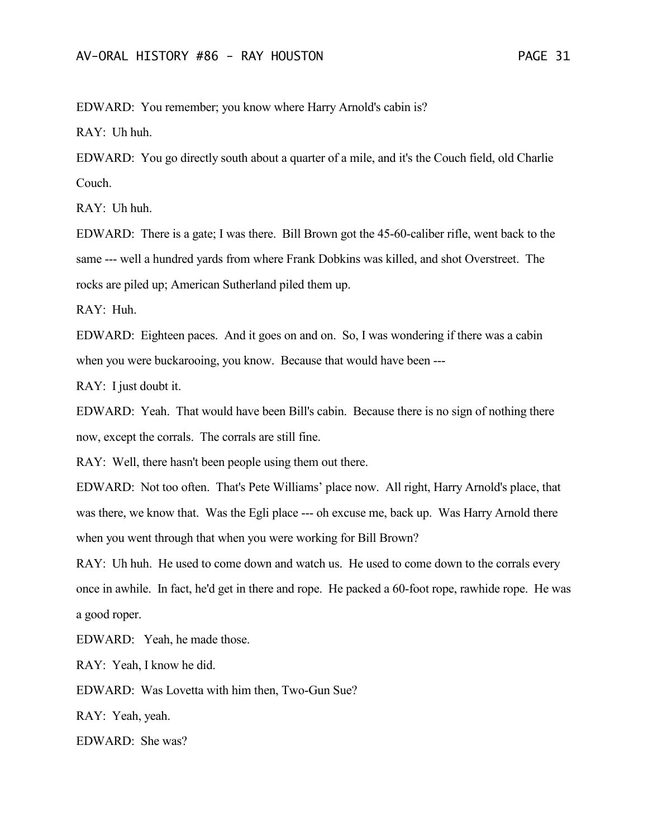EDWARD: You remember; you know where Harry Arnold's cabin is?

RAY: Uh huh.

EDWARD: You go directly south about a quarter of a mile, and it's the Couch field, old Charlie Couch.

RAY: Uh huh.

EDWARD: There is a gate; I was there. Bill Brown got the 45-60-caliber rifle, went back to the same --- well a hundred yards from where Frank Dobkins was killed, and shot Overstreet. The rocks are piled up; American Sutherland piled them up.

RAY: Huh.

EDWARD: Eighteen paces. And it goes on and on. So, I was wondering if there was a cabin when you were buckarooing, you know. Because that would have been ---

RAY: I just doubt it.

EDWARD: Yeah. That would have been Bill's cabin. Because there is no sign of nothing there now, except the corrals. The corrals are still fine.

RAY: Well, there hasn't been people using them out there.

EDWARD: Not too often. That's Pete Williams' place now. All right, Harry Arnold's place, that was there, we know that. Was the Egli place --- oh excuse me, back up. Was Harry Arnold there when you went through that when you were working for Bill Brown?

RAY: Uh huh. He used to come down and watch us. He used to come down to the corrals every once in awhile. In fact, he'd get in there and rope. He packed a 60-foot rope, rawhide rope. He was a good roper.

EDWARD: Yeah, he made those.

RAY: Yeah, I know he did.

EDWARD: Was Lovetta with him then, Two-Gun Sue?

RAY: Yeah, yeah.

EDWARD: She was?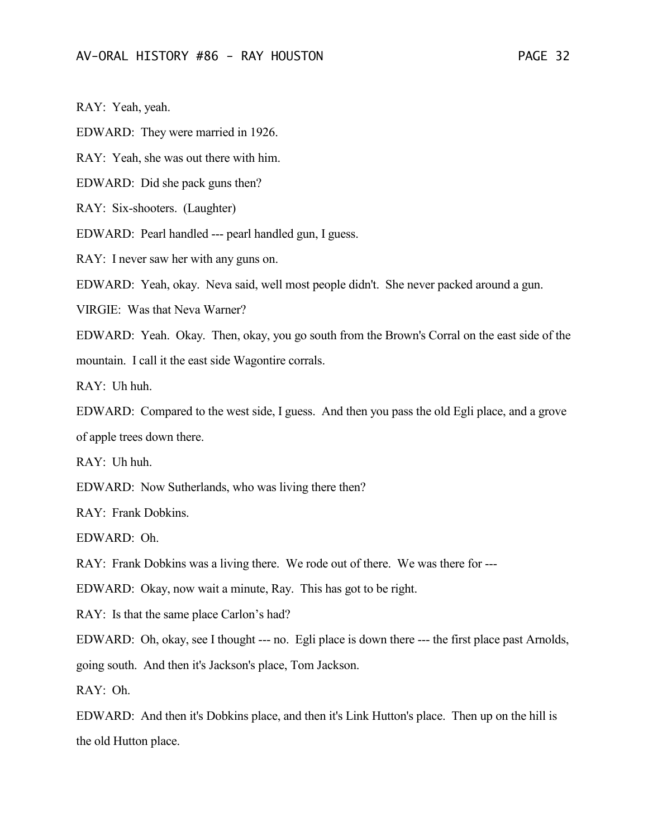RAY: Yeah, yeah.

EDWARD: They were married in 1926.

RAY: Yeah, she was out there with him.

EDWARD: Did she pack guns then?

RAY: Six-shooters. (Laughter)

EDWARD: Pearl handled --- pearl handled gun, I guess.

RAY: I never saw her with any guns on.

EDWARD: Yeah, okay. Neva said, well most people didn't. She never packed around a gun.

VIRGIE: Was that Neva Warner?

EDWARD: Yeah. Okay. Then, okay, you go south from the Brown's Corral on the east side of the mountain. I call it the east side Wagontire corrals.

RAY: Uh huh.

EDWARD: Compared to the west side, I guess. And then you pass the old Egli place, and a grove of apple trees down there.

RAY: Uh huh.

EDWARD: Now Sutherlands, who was living there then?

RAY: Frank Dobkins.

EDWARD: Oh.

RAY: Frank Dobkins was a living there. We rode out of there. We was there for ---

EDWARD: Okay, now wait a minute, Ray. This has got to be right.

RAY: Is that the same place Carlon's had?

EDWARD: Oh, okay, see I thought --- no. Egli place is down there --- the first place past Arnolds,

going south. And then it's Jackson's place, Tom Jackson.

 $RAY$  Oh.

EDWARD: And then it's Dobkins place, and then it's Link Hutton's place. Then up on the hill is the old Hutton place.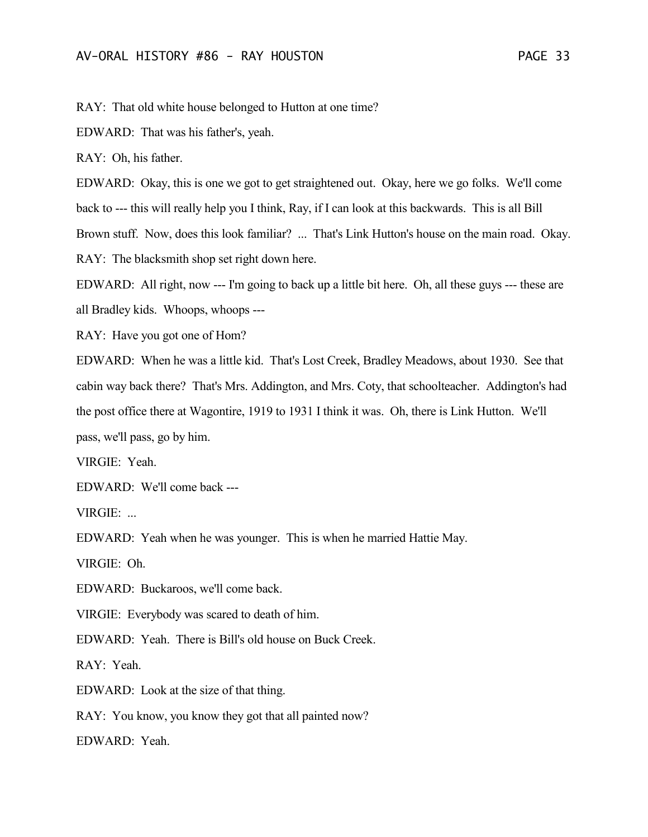RAY: That old white house belonged to Hutton at one time?

EDWARD: That was his father's, yeah.

RAY: Oh, his father.

EDWARD: Okay, this is one we got to get straightened out. Okay, here we go folks. We'll come back to --- this will really help you I think, Ray, if I can look at this backwards. This is all Bill Brown stuff. Now, does this look familiar? ... That's Link Hutton's house on the main road. Okay. RAY: The blacksmith shop set right down here.

EDWARD: All right, now --- I'm going to back up a little bit here. Oh, all these guys --- these are all Bradley kids. Whoops, whoops ---

RAY: Have you got one of Hom?

EDWARD: When he was a little kid. That's Lost Creek, Bradley Meadows, about 1930. See that cabin way back there? That's Mrs. Addington, and Mrs. Coty, that schoolteacher. Addington's had the post office there at Wagontire, 1919 to 1931 I think it was. Oh, there is Link Hutton. We'll pass, we'll pass, go by him.

VIRGIE: Yeah.

EDWARD: We'll come back ---

VIRGIE: ...

EDWARD: Yeah when he was younger. This is when he married Hattie May.

VIRGIE: Oh.

EDWARD: Buckaroos, we'll come back.

VIRGIE: Everybody was scared to death of him.

EDWARD: Yeah. There is Bill's old house on Buck Creek.

RAY: Yeah.

EDWARD: Look at the size of that thing.

RAY: You know, you know they got that all painted now?

EDWARD: Yeah.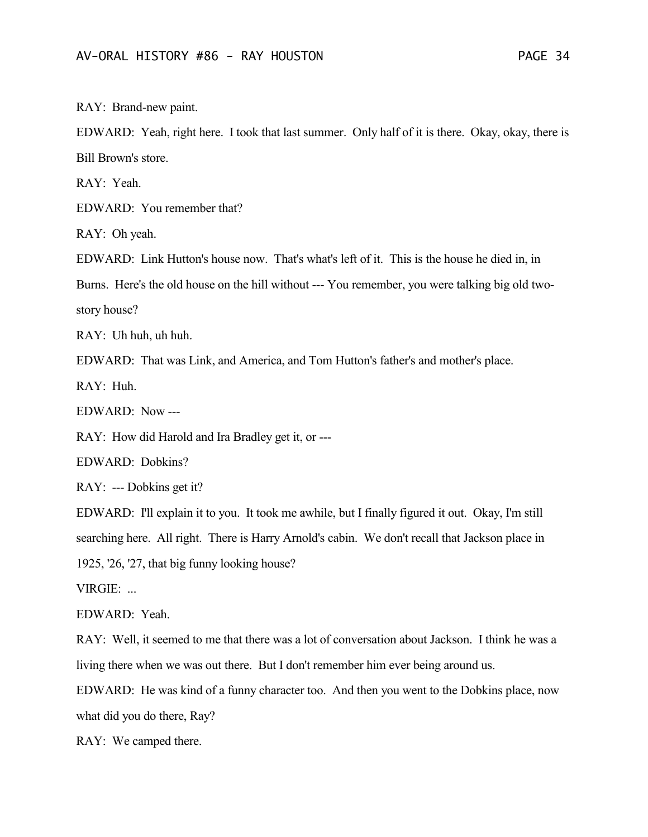RAY: Brand-new paint.

EDWARD: Yeah, right here. I took that last summer. Only half of it is there. Okay, okay, there is Bill Brown's store.

RAY: Yeah.

EDWARD: You remember that?

RAY: Oh yeah.

EDWARD: Link Hutton's house now. That's what's left of it. This is the house he died in, in

Burns. Here's the old house on the hill without --- You remember, you were talking big old two-

story house?

RAY: Uh huh, uh huh.

EDWARD: That was Link, and America, and Tom Hutton's father's and mother's place.

 $RAY: Huh$ 

EDWARD: Now ---

RAY: How did Harold and Ira Bradley get it, or ---

EDWARD: Dobkins?

RAY: --- Dobkins get it?

EDWARD: I'll explain it to you. It took me awhile, but I finally figured it out. Okay, I'm still searching here. All right. There is Harry Arnold's cabin. We don't recall that Jackson place in 1925, '26, '27, that big funny looking house?

VIRGIE: ...

EDWARD: Yeah.

RAY: Well, it seemed to me that there was a lot of conversation about Jackson. I think he was a living there when we was out there. But I don't remember him ever being around us.

EDWARD: He was kind of a funny character too. And then you went to the Dobkins place, now what did you do there, Ray?

RAY: We camped there.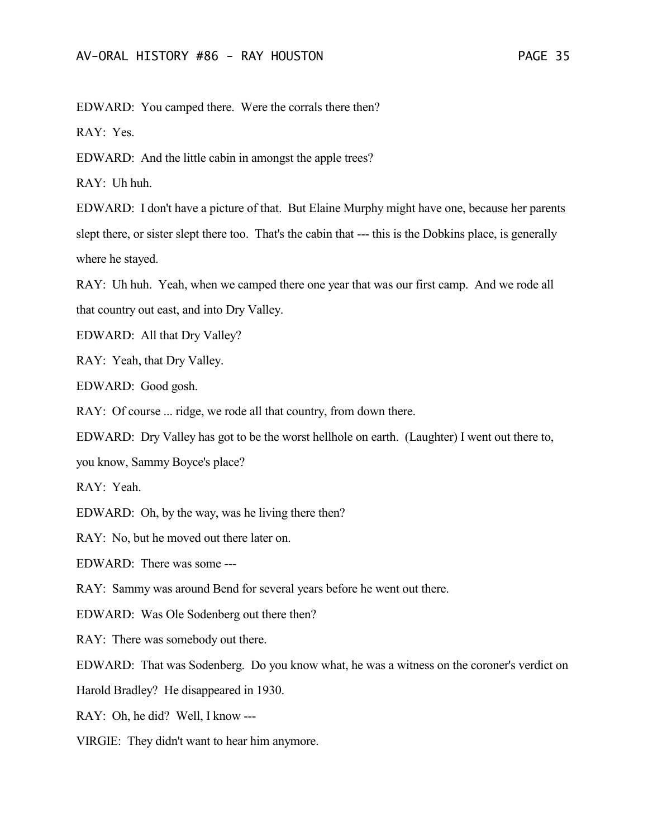EDWARD: You camped there. Were the corrals there then?

RAY: Yes.

EDWARD: And the little cabin in amongst the apple trees?

RAY: Uh huh.

EDWARD: I don't have a picture of that. But Elaine Murphy might have one, because her parents slept there, or sister slept there too. That's the cabin that --- this is the Dobkins place, is generally where he stayed.

RAY: Uh huh. Yeah, when we camped there one year that was our first camp. And we rode all that country out east, and into Dry Valley.

EDWARD: All that Dry Valley?

RAY: Yeah, that Dry Valley.

EDWARD: Good gosh.

RAY: Of course ... ridge, we rode all that country, from down there.

EDWARD: Dry Valley has got to be the worst hellhole on earth. (Laughter) I went out there to,

you know, Sammy Boyce's place?

RAY: Yeah.

EDWARD: Oh, by the way, was he living there then?

RAY: No, but he moved out there later on.

EDWARD: There was some ---

RAY: Sammy was around Bend for several years before he went out there.

EDWARD: Was Ole Sodenberg out there then?

RAY: There was somebody out there.

EDWARD: That was Sodenberg. Do you know what, he was a witness on the coroner's verdict on

Harold Bradley? He disappeared in 1930.

RAY: Oh, he did? Well, I know ---

VIRGIE: They didn't want to hear him anymore.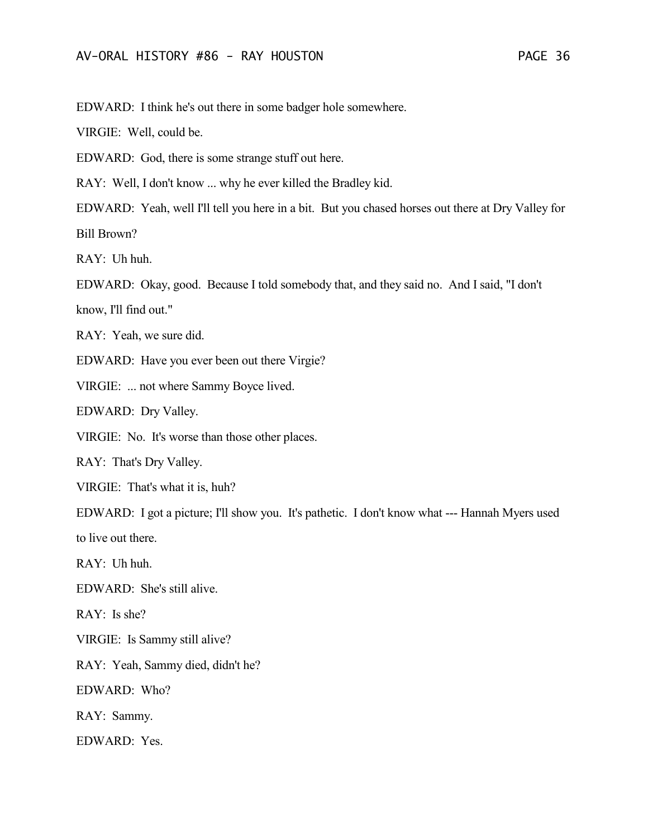EDWARD: I think he's out there in some badger hole somewhere.

VIRGIE: Well, could be.

EDWARD: God, there is some strange stuff out here.

RAY: Well, I don't know ... why he ever killed the Bradley kid.

EDWARD: Yeah, well I'll tell you here in a bit. But you chased horses out there at Dry Valley for Bill Brown?

RAY: Uh huh.

EDWARD: Okay, good. Because I told somebody that, and they said no. And I said, "I don't

know, I'll find out."

RAY: Yeah, we sure did.

EDWARD: Have you ever been out there Virgie?

VIRGIE: ... not where Sammy Boyce lived.

EDWARD: Dry Valley.

VIRGIE: No. It's worse than those other places.

RAY: That's Dry Valley.

VIRGIE: That's what it is, huh?

EDWARD: I got a picture; I'll show you. It's pathetic. I don't know what --- Hannah Myers used to live out there.

RAY: Uh huh.

EDWARD: She's still alive.

RAY: Is she?

VIRGIE: Is Sammy still alive?

RAY: Yeah, Sammy died, didn't he?

EDWARD: Who?

RAY: Sammy.

EDWARD: Yes.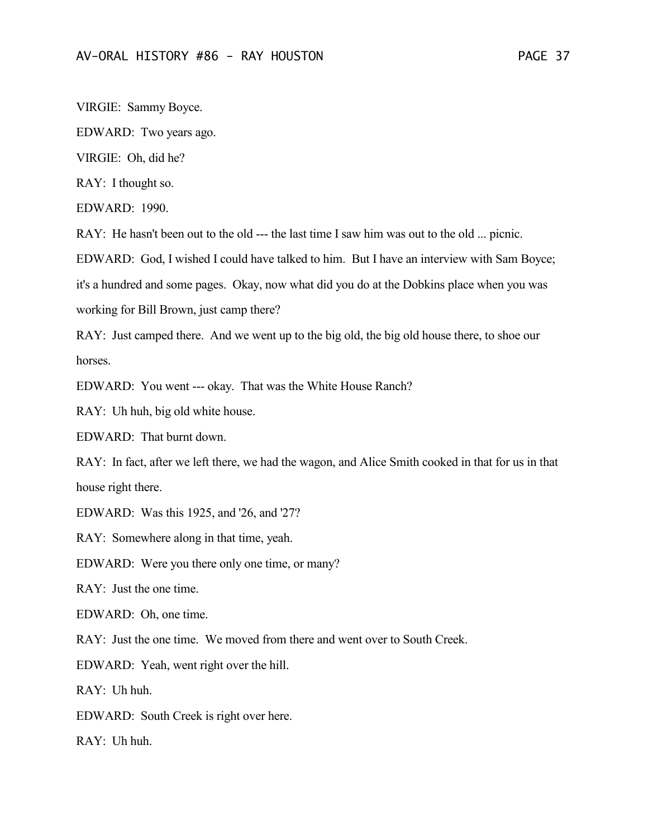VIRGIE: Sammy Boyce.

EDWARD: Two years ago.

VIRGIE: Oh, did he?

RAY: I thought so.

EDWARD: 1990.

RAY: He hasn't been out to the old --- the last time I saw him was out to the old ... picnic.

EDWARD: God, I wished I could have talked to him. But I have an interview with Sam Boyce;

it's a hundred and some pages. Okay, now what did you do at the Dobkins place when you was

working for Bill Brown, just camp there?

RAY: Just camped there. And we went up to the big old, the big old house there, to shoe our horses.

EDWARD: You went --- okay. That was the White House Ranch?

RAY: Uh huh, big old white house.

EDWARD: That burnt down.

RAY: In fact, after we left there, we had the wagon, and Alice Smith cooked in that for us in that house right there.

EDWARD: Was this 1925, and '26, and '27?

RAY: Somewhere along in that time, yeah.

EDWARD: Were you there only one time, or many?

RAY: Just the one time.

EDWARD: Oh, one time.

RAY: Just the one time. We moved from there and went over to South Creek.

EDWARD: Yeah, went right over the hill.

 $RAY:$  Uh huh.

EDWARD: South Creek is right over here.

RAY: Uh huh.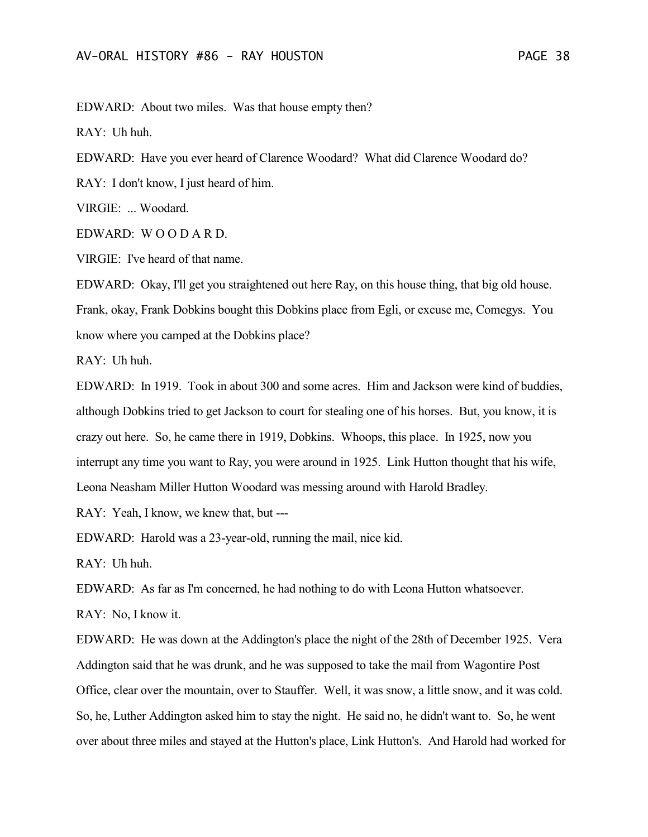EDWARD: About two miles. Was that house empty then?

RAY: Uh huh.

EDWARD: Have you ever heard of Clarence Woodard? What did Clarence Woodard do?

RAY: I don't know, I just heard of him.

VIRGIE: ... Woodard.

EDWARD: W O O D A R D.

VIRGIE: I've heard of that name.

EDWARD: Okay, I'll get you straightened out here Ray, on this house thing, that big old house. Frank, okay, Frank Dobkins bought this Dobkins place from Egli, or excuse me, Comegys. You know where you camped at the Dobkins place?

RAY: Uh huh.

EDWARD: In 1919. Took in about 300 and some acres. Him and Jackson were kind of buddies, although Dobkins tried to get Jackson to court for stealing one of his horses. But, you know, it is crazy out here. So, he came there in 1919, Dobkins. Whoops, this place. In 1925, now you interrupt any time you want to Ray, you were around in 1925. Link Hutton thought that his wife, Leona Neasham Miller Hutton Woodard was messing around with Harold Bradley.

RAY: Yeah, I know, we knew that, but ---

EDWARD: Harold was a 23-year-old, running the mail, nice kid.

RAY: Uh huh.

EDWARD: As far as I'm concerned, he had nothing to do with Leona Hutton whatsoever.

RAY: No, I know it.

EDWARD: He was down at the Addington's place the night of the 28th of December 1925. Vera Addington said that he was drunk, and he was supposed to take the mail from Wagontire Post Office, clear over the mountain, over to Stauffer. Well, it was snow, a little snow, and it was cold. So, he, Luther Addington asked him to stay the night. He said no, he didn't want to. So, he went over about three miles and stayed at the Hutton's place, Link Hutton's. And Harold had worked for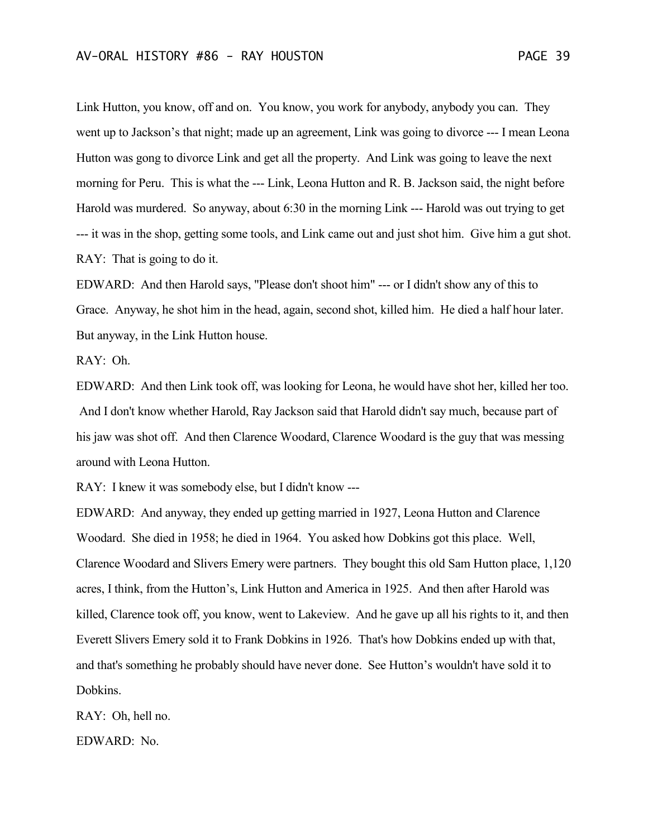Link Hutton, you know, off and on. You know, you work for anybody, anybody you can. They went up to Jackson's that night; made up an agreement, Link was going to divorce --- I mean Leona Hutton was gong to divorce Link and get all the property. And Link was going to leave the next morning for Peru. This is what the --- Link, Leona Hutton and R. B. Jackson said, the night before Harold was murdered. So anyway, about 6:30 in the morning Link --- Harold was out trying to get --- it was in the shop, getting some tools, and Link came out and just shot him. Give him a gut shot. RAY: That is going to do it.

EDWARD: And then Harold says, "Please don't shoot him" --- or I didn't show any of this to Grace. Anyway, he shot him in the head, again, second shot, killed him. He died a half hour later. But anyway, in the Link Hutton house.

RAY: Oh.

EDWARD: And then Link took off, was looking for Leona, he would have shot her, killed her too. And I don't know whether Harold, Ray Jackson said that Harold didn't say much, because part of his jaw was shot off. And then Clarence Woodard, Clarence Woodard is the guy that was messing around with Leona Hutton.

RAY: I knew it was somebody else, but I didn't know ---

EDWARD: And anyway, they ended up getting married in 1927, Leona Hutton and Clarence Woodard. She died in 1958; he died in 1964. You asked how Dobkins got this place. Well, Clarence Woodard and Slivers Emery were partners. They bought this old Sam Hutton place, 1,120 acres, I think, from the Hutton's, Link Hutton and America in 1925. And then after Harold was killed, Clarence took off, you know, went to Lakeview. And he gave up all his rights to it, and then Everett Slivers Emery sold it to Frank Dobkins in 1926. That's how Dobkins ended up with that, and that's something he probably should have never done. See Hutton's wouldn't have sold it to Dobkins.

RAY: Oh, hell no.

EDWARD: No.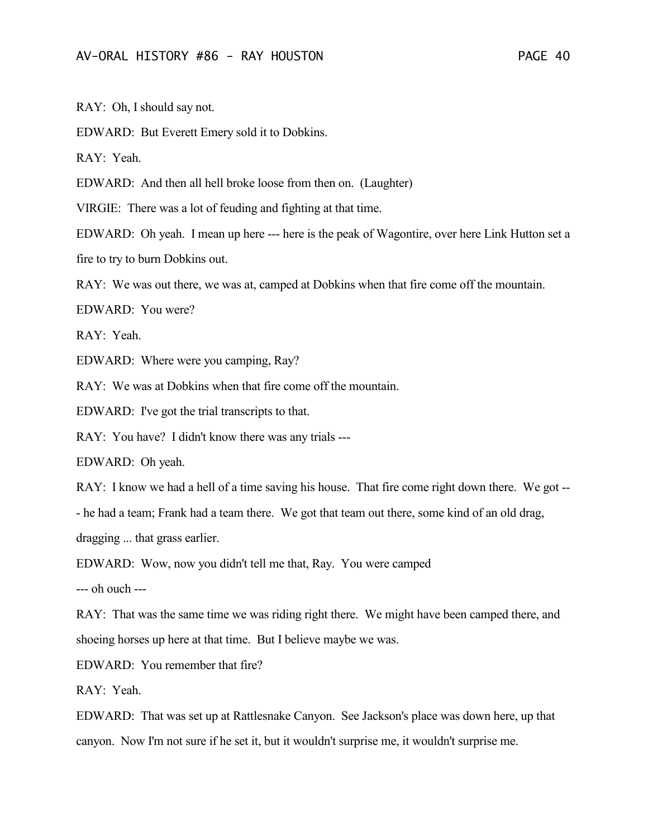RAY: Oh, I should say not.

EDWARD: But Everett Emery sold it to Dobkins.

RAY: Yeah.

EDWARD: And then all hell broke loose from then on. (Laughter)

VIRGIE: There was a lot of feuding and fighting at that time.

EDWARD: Oh yeah. I mean up here --- here is the peak of Wagontire, over here Link Hutton set a fire to try to burn Dobkins out.

RAY: We was out there, we was at, camped at Dobkins when that fire come off the mountain.

EDWARD: You were?

RAY: Yeah.

EDWARD: Where were you camping, Ray?

RAY: We was at Dobkins when that fire come off the mountain.

EDWARD: I've got the trial transcripts to that.

RAY: You have? I didn't know there was any trials ---

EDWARD: Oh yeah.

RAY: I know we had a hell of a time saving his house. That fire come right down there. We got -- - he had a team; Frank had a team there. We got that team out there, some kind of an old drag, dragging ... that grass earlier.

EDWARD: Wow, now you didn't tell me that, Ray. You were camped

--- oh ouch ---

RAY: That was the same time we was riding right there. We might have been camped there, and shoeing horses up here at that time. But I believe maybe we was.

EDWARD: You remember that fire?

RAY: Yeah.

EDWARD: That was set up at Rattlesnake Canyon. See Jackson's place was down here, up that canyon. Now I'm not sure if he set it, but it wouldn't surprise me, it wouldn't surprise me.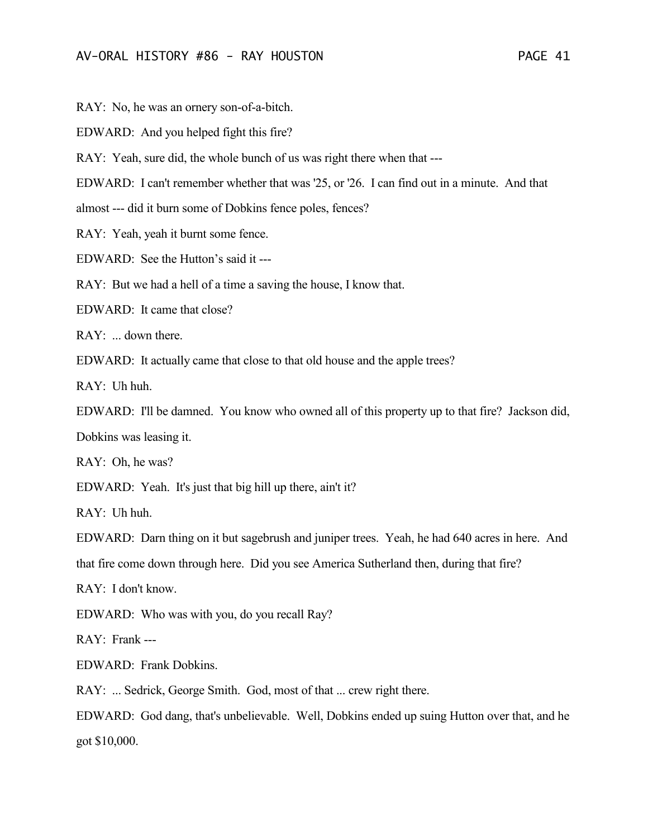RAY: No, he was an ornery son-of-a-bitch.

EDWARD: And you helped fight this fire?

RAY: Yeah, sure did, the whole bunch of us was right there when that ---

EDWARD: I can't remember whether that was '25, or '26. I can find out in a minute. And that

almost --- did it burn some of Dobkins fence poles, fences?

RAY: Yeah, yeah it burnt some fence.

EDWARD: See the Hutton's said it ---

RAY: But we had a hell of a time a saving the house, I know that.

EDWARD: It came that close?

RAY: ... down there.

EDWARD: It actually came that close to that old house and the apple trees?

 $RAY:$  Uh huh.

EDWARD: I'll be damned. You know who owned all of this property up to that fire? Jackson did, Dobkins was leasing it.

RAY: Oh, he was?

EDWARD: Yeah. It's just that big hill up there, ain't it?

RAY: Uh huh.

EDWARD: Darn thing on it but sagebrush and juniper trees. Yeah, he had 640 acres in here. And that fire come down through here. Did you see America Sutherland then, during that fire?

RAY: I don't know.

EDWARD: Who was with you, do you recall Ray?

RAY: Frank ---

EDWARD: Frank Dobkins.

RAY: ... Sedrick, George Smith. God, most of that ... crew right there.

EDWARD: God dang, that's unbelievable. Well, Dobkins ended up suing Hutton over that, and he got \$10,000.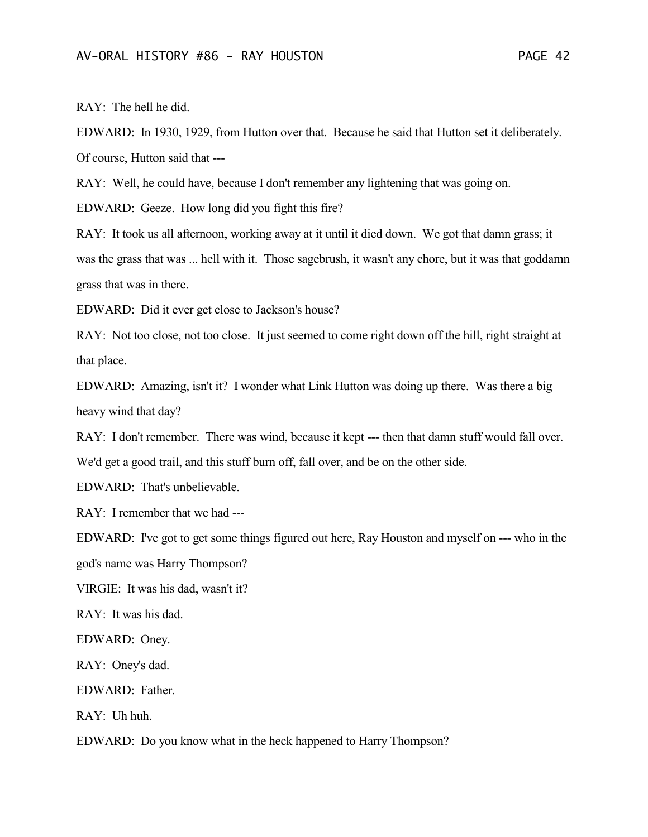RAY: The hell he did.

EDWARD: In 1930, 1929, from Hutton over that. Because he said that Hutton set it deliberately. Of course, Hutton said that ---

RAY: Well, he could have, because I don't remember any lightening that was going on.

EDWARD: Geeze. How long did you fight this fire?

RAY: It took us all afternoon, working away at it until it died down. We got that damn grass; it was the grass that was ... hell with it. Those sagebrush, it wasn't any chore, but it was that goddamn grass that was in there.

EDWARD: Did it ever get close to Jackson's house?

RAY: Not too close, not too close. It just seemed to come right down off the hill, right straight at that place.

EDWARD: Amazing, isn't it? I wonder what Link Hutton was doing up there. Was there a big heavy wind that day?

RAY: I don't remember. There was wind, because it kept --- then that damn stuff would fall over.

We'd get a good trail, and this stuff burn off, fall over, and be on the other side.

EDWARD: That's unbelievable.

RAY: I remember that we had ---

EDWARD: I've got to get some things figured out here, Ray Houston and myself on --- who in the

god's name was Harry Thompson?

VIRGIE: It was his dad, wasn't it?

RAY: It was his dad.

EDWARD: Oney.

RAY: Oney's dad.

EDWARD: Father.

RAY: Uh huh.

EDWARD: Do you know what in the heck happened to Harry Thompson?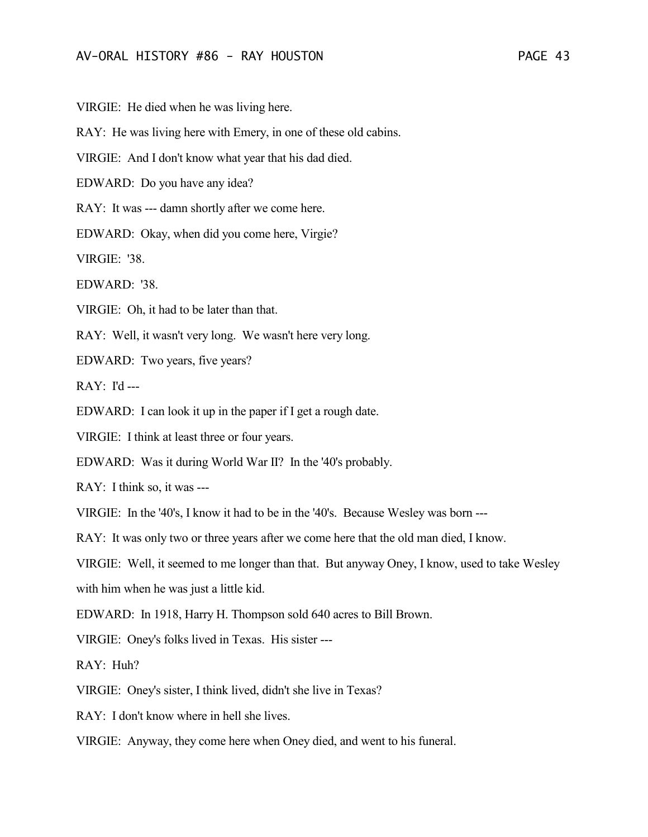VIRGIE: He died when he was living here.

RAY: He was living here with Emery, in one of these old cabins.

VIRGIE: And I don't know what year that his dad died.

EDWARD: Do you have any idea?

RAY: It was --- damn shortly after we come here.

EDWARD: Okay, when did you come here, Virgie?

VIRGIE: '38.

EDWARD: '38.

VIRGIE: Oh, it had to be later than that.

RAY: Well, it wasn't very long. We wasn't here very long.

EDWARD: Two years, five years?

 $RAY: I'd --$ 

EDWARD: I can look it up in the paper if I get a rough date.

VIRGIE: I think at least three or four years.

EDWARD: Was it during World War II? In the '40's probably.

RAY: I think so, it was ---

VIRGIE: In the '40's, I know it had to be in the '40's. Because Wesley was born ---

RAY: It was only two or three years after we come here that the old man died, I know.

VIRGIE: Well, it seemed to me longer than that. But anyway Oney, I know, used to take Wesley with him when he was just a little kid.

EDWARD: In 1918, Harry H. Thompson sold 640 acres to Bill Brown.

VIRGIE: Oney's folks lived in Texas. His sister ---

RAY: Huh?

VIRGIE: Oney's sister, I think lived, didn't she live in Texas?

RAY: I don't know where in hell she lives.

VIRGIE: Anyway, they come here when Oney died, and went to his funeral.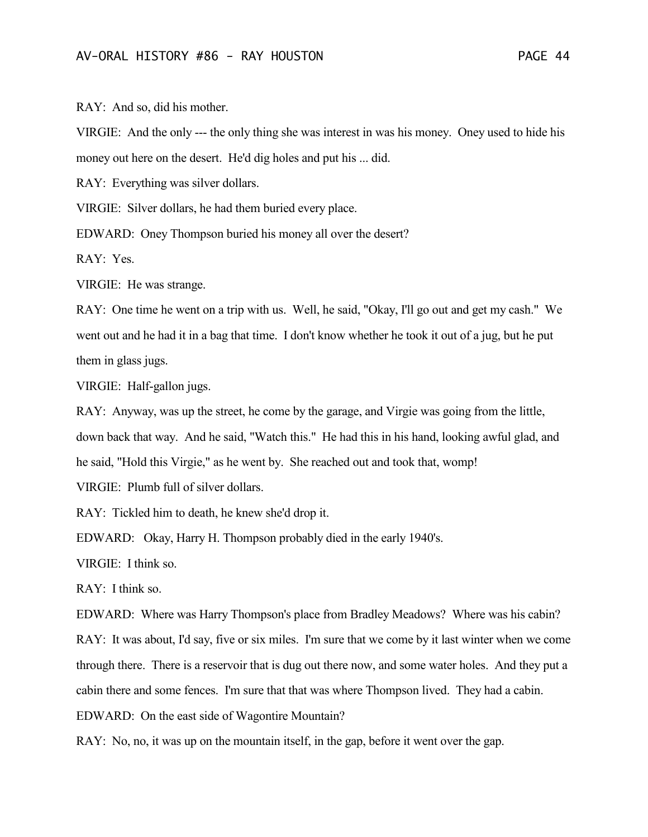RAY: And so, did his mother.

VIRGIE: And the only --- the only thing she was interest in was his money. Oney used to hide his money out here on the desert. He'd dig holes and put his ... did.

RAY: Everything was silver dollars.

VIRGIE: Silver dollars, he had them buried every place.

EDWARD: Oney Thompson buried his money all over the desert?

RAY: Yes.

VIRGIE: He was strange.

RAY: One time he went on a trip with us. Well, he said, "Okay, I'll go out and get my cash." We went out and he had it in a bag that time. I don't know whether he took it out of a jug, but he put them in glass jugs.

VIRGIE: Half-gallon jugs.

RAY: Anyway, was up the street, he come by the garage, and Virgie was going from the little, down back that way. And he said, "Watch this." He had this in his hand, looking awful glad, and he said, "Hold this Virgie," as he went by. She reached out and took that, womp!

VIRGIE: Plumb full of silver dollars.

RAY: Tickled him to death, he knew she'd drop it.

EDWARD: Okay, Harry H. Thompson probably died in the early 1940's.

VIRGIE: I think so.

RAY: I think so.

EDWARD: Where was Harry Thompson's place from Bradley Meadows? Where was his cabin?

RAY: It was about, I'd say, five or six miles. I'm sure that we come by it last winter when we come through there. There is a reservoir that is dug out there now, and some water holes. And they put a

cabin there and some fences. I'm sure that that was where Thompson lived. They had a cabin.

EDWARD: On the east side of Wagontire Mountain?

RAY: No, no, it was up on the mountain itself, in the gap, before it went over the gap.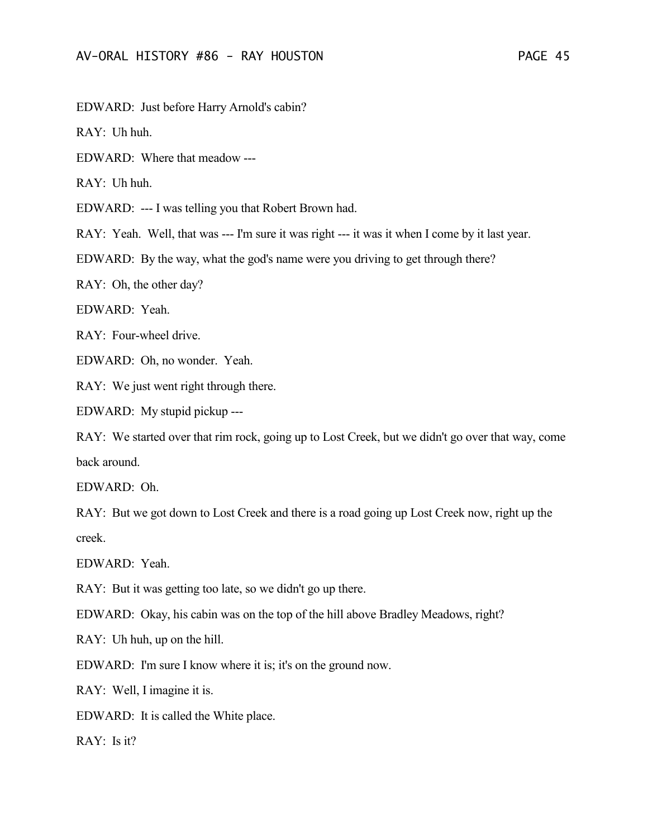EDWARD: Just before Harry Arnold's cabin?

RAY: Uh huh.

EDWARD: Where that meadow ---

RAY: Uh huh.

EDWARD: --- I was telling you that Robert Brown had.

RAY: Yeah. Well, that was --- I'm sure it was right --- it was it when I come by it last year.

EDWARD: By the way, what the god's name were you driving to get through there?

RAY: Oh, the other day?

EDWARD: Yeah.

RAY: Four-wheel drive.

EDWARD: Oh, no wonder. Yeah.

RAY: We just went right through there.

EDWARD: My stupid pickup ---

RAY: We started over that rim rock, going up to Lost Creek, but we didn't go over that way, come back around.

EDWARD: Oh.

RAY: But we got down to Lost Creek and there is a road going up Lost Creek now, right up the creek.

EDWARD: Yeah.

RAY: But it was getting too late, so we didn't go up there.

EDWARD: Okay, his cabin was on the top of the hill above Bradley Meadows, right?

RAY: Uh huh, up on the hill.

EDWARD: I'm sure I know where it is; it's on the ground now.

RAY: Well, I imagine it is.

EDWARD: It is called the White place.

 $RAY: Is it?$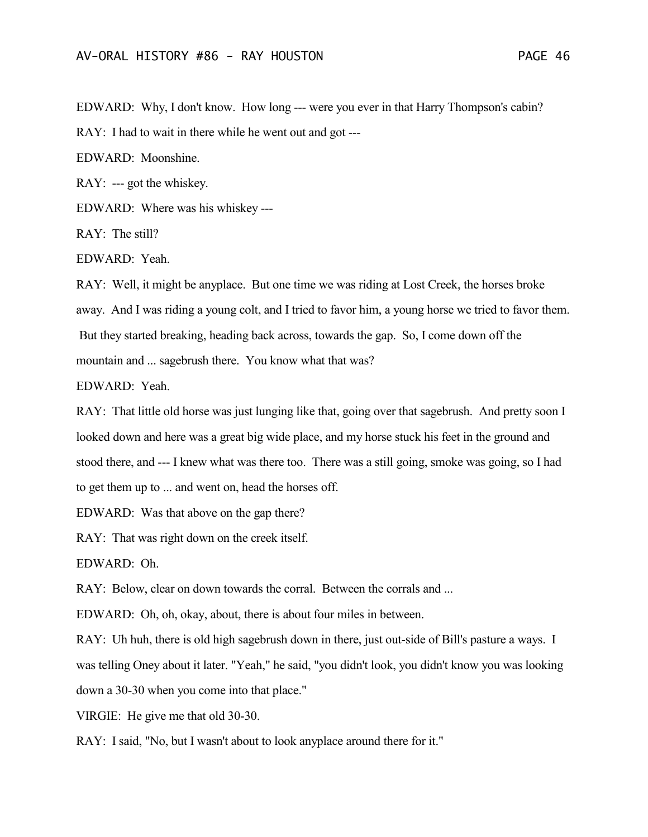EDWARD: Why, I don't know. How long --- were you ever in that Harry Thompson's cabin?

RAY: I had to wait in there while he went out and got ---

EDWARD: Moonshine.

RAY: --- got the whiskey.

EDWARD: Where was his whiskey ---

RAY: The still?

EDWARD: Yeah.

RAY: Well, it might be anyplace. But one time we was riding at Lost Creek, the horses broke away. And I was riding a young colt, and I tried to favor him, a young horse we tried to favor them. But they started breaking, heading back across, towards the gap. So, I come down off the mountain and ... sagebrush there. You know what that was?

EDWARD: Yeah.

RAY: That little old horse was just lunging like that, going over that sagebrush. And pretty soon I looked down and here was a great big wide place, and my horse stuck his feet in the ground and stood there, and --- I knew what was there too. There was a still going, smoke was going, so I had to get them up to ... and went on, head the horses off.

EDWARD: Was that above on the gap there?

RAY: That was right down on the creek itself.

EDWARD: Oh.

RAY: Below, clear on down towards the corral. Between the corrals and ...

EDWARD: Oh, oh, okay, about, there is about four miles in between.

RAY: Uh huh, there is old high sagebrush down in there, just out-side of Bill's pasture a ways. I was telling Oney about it later. "Yeah," he said, "you didn't look, you didn't know you was looking down a 30-30 when you come into that place."

VIRGIE: He give me that old 30-30.

RAY: I said, "No, but I wasn't about to look anyplace around there for it."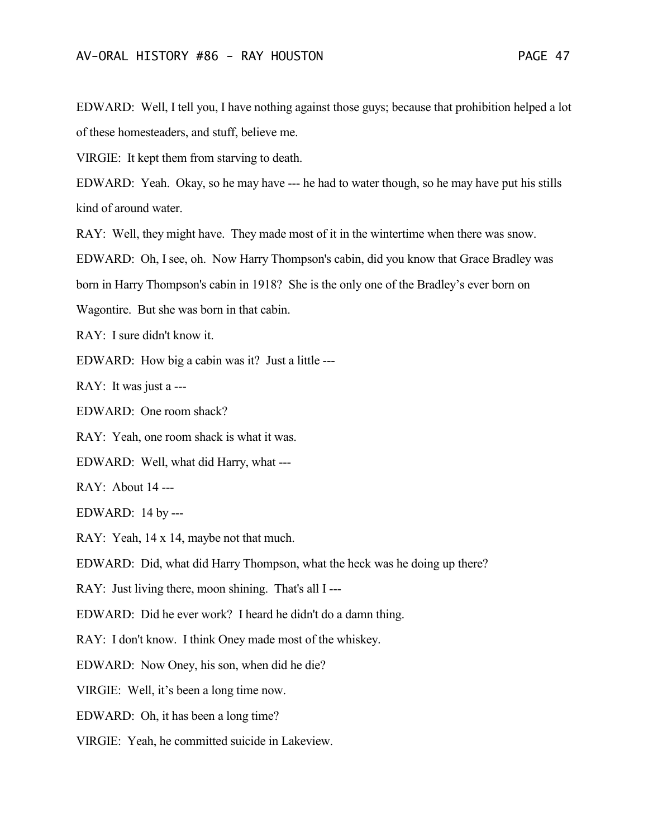EDWARD: Well, I tell you, I have nothing against those guys; because that prohibition helped a lot of these homesteaders, and stuff, believe me.

VIRGIE: It kept them from starving to death.

EDWARD: Yeah. Okay, so he may have --- he had to water though, so he may have put his stills kind of around water.

RAY: Well, they might have. They made most of it in the wintertime when there was snow.

EDWARD: Oh, I see, oh. Now Harry Thompson's cabin, did you know that Grace Bradley was

born in Harry Thompson's cabin in 1918? She is the only one of the Bradley's ever born on

Wagontire. But she was born in that cabin.

RAY: I sure didn't know it.

EDWARD: How big a cabin was it? Just a little ---

RAY: It was just a ---

EDWARD: One room shack?

RAY: Yeah, one room shack is what it was.

EDWARD: Well, what did Harry, what ---

RAY: About 14 ---

EDWARD: 14 by ---

RAY: Yeah, 14 x 14, maybe not that much.

EDWARD: Did, what did Harry Thompson, what the heck was he doing up there?

RAY: Just living there, moon shining. That's all I---

EDWARD: Did he ever work? I heard he didn't do a damn thing.

RAY: I don't know. I think Oney made most of the whiskey.

EDWARD: Now Oney, his son, when did he die?

VIRGIE: Well, it's been a long time now.

EDWARD: Oh, it has been a long time?

VIRGIE: Yeah, he committed suicide in Lakeview.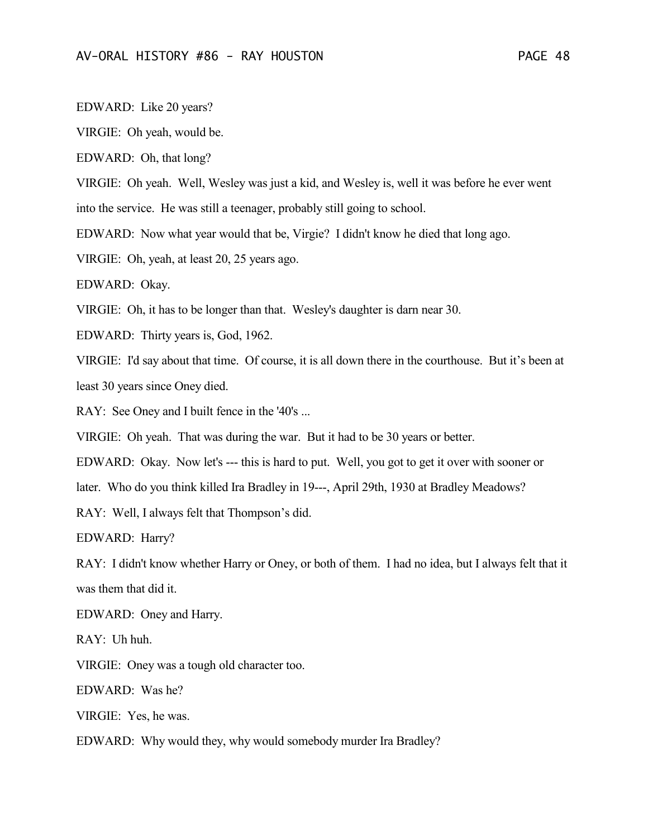EDWARD: Like 20 years?

VIRGIE: Oh yeah, would be.

EDWARD: Oh, that long?

VIRGIE: Oh yeah. Well, Wesley was just a kid, and Wesley is, well it was before he ever went

into the service. He was still a teenager, probably still going to school.

EDWARD: Now what year would that be, Virgie? I didn't know he died that long ago.

VIRGIE: Oh, yeah, at least 20, 25 years ago.

EDWARD: Okay.

VIRGIE: Oh, it has to be longer than that. Wesley's daughter is darn near 30.

EDWARD: Thirty years is, God, 1962.

VIRGIE: I'd say about that time. Of course, it is all down there in the courthouse. But it's been at least 30 years since Oney died.

RAY: See Oney and I built fence in the '40's ...

VIRGIE: Oh yeah. That was during the war. But it had to be 30 years or better.

EDWARD: Okay. Now let's --- this is hard to put. Well, you got to get it over with sooner or

later. Who do you think killed Ira Bradley in 19---, April 29th, 1930 at Bradley Meadows?

RAY: Well, I always felt that Thompson's did.

EDWARD: Harry?

RAY: I didn't know whether Harry or Oney, or both of them. I had no idea, but I always felt that it was them that did it.

EDWARD: Oney and Harry.

RAY: Uh huh.

VIRGIE: Oney was a tough old character too.

EDWARD: Was he?

VIRGIE: Yes, he was.

EDWARD: Why would they, why would somebody murder Ira Bradley?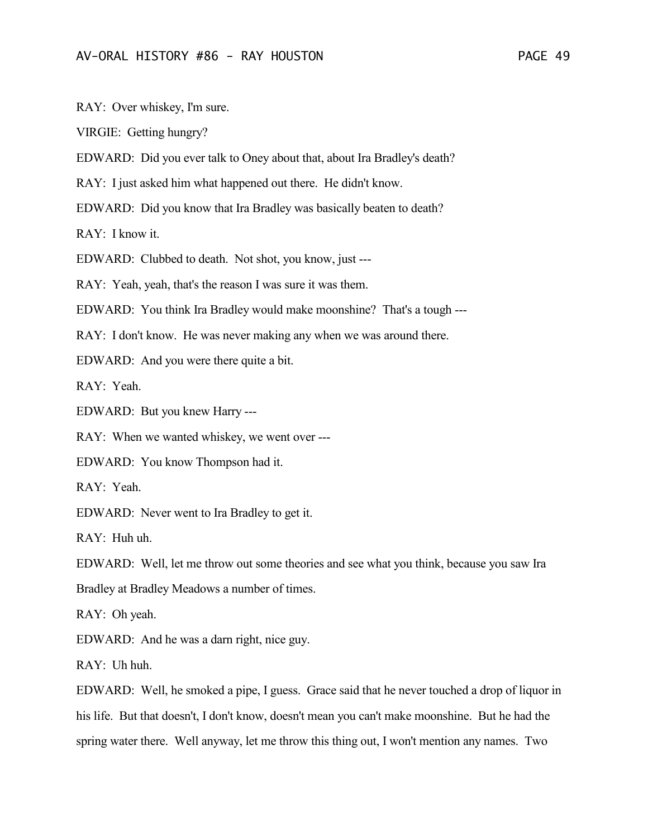RAY: Over whiskey, I'm sure.

VIRGIE: Getting hungry?

EDWARD: Did you ever talk to Oney about that, about Ira Bradley's death?

RAY: I just asked him what happened out there. He didn't know.

EDWARD: Did you know that Ira Bradley was basically beaten to death?

RAY: I know it.

EDWARD: Clubbed to death. Not shot, you know, just ---

RAY: Yeah, yeah, that's the reason I was sure it was them.

EDWARD: You think Ira Bradley would make moonshine? That's a tough ---

RAY: I don't know. He was never making any when we was around there.

EDWARD: And you were there quite a bit.

RAY: Yeah.

EDWARD: But you knew Harry ---

RAY: When we wanted whiskey, we went over ---

EDWARD: You know Thompson had it.

RAY: Yeah.

EDWARD: Never went to Ira Bradley to get it.

RAY: Huh uh.

EDWARD: Well, let me throw out some theories and see what you think, because you saw Ira Bradley at Bradley Meadows a number of times.

RAY: Oh yeah.

EDWARD: And he was a darn right, nice guy.

 $RAY:$  Uh huh.

EDWARD: Well, he smoked a pipe, I guess. Grace said that he never touched a drop of liquor in his life. But that doesn't, I don't know, doesn't mean you can't make moonshine. But he had the spring water there. Well anyway, let me throw this thing out, I won't mention any names. Two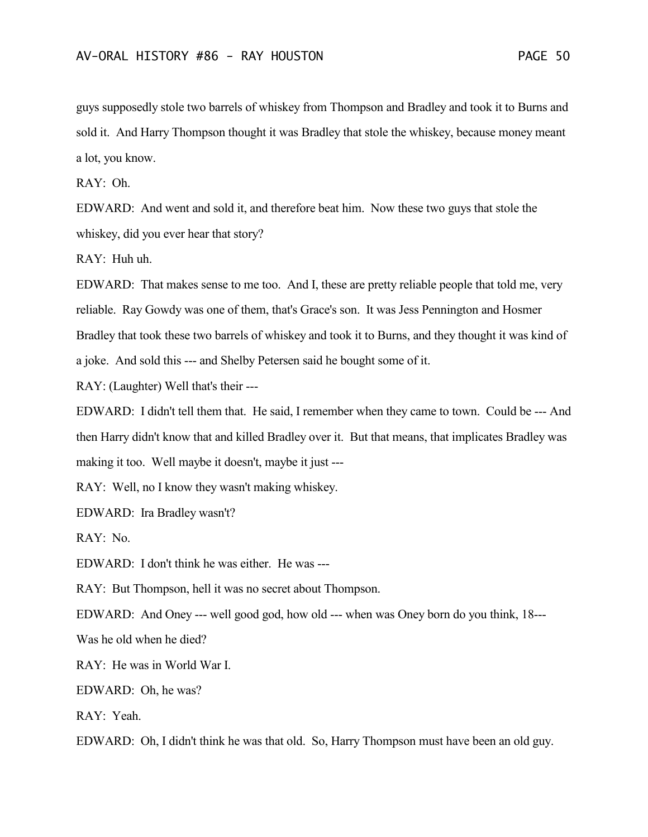guys supposedly stole two barrels of whiskey from Thompson and Bradley and took it to Burns and sold it. And Harry Thompson thought it was Bradley that stole the whiskey, because money meant a lot, you know.

RAY: Oh.

EDWARD: And went and sold it, and therefore beat him. Now these two guys that stole the whiskey, did you ever hear that story?

RAY: Huh uh.

EDWARD: That makes sense to me too. And I, these are pretty reliable people that told me, very reliable. Ray Gowdy was one of them, that's Grace's son. It was Jess Pennington and Hosmer Bradley that took these two barrels of whiskey and took it to Burns, and they thought it was kind of a joke. And sold this --- and Shelby Petersen said he bought some of it.

RAY: (Laughter) Well that's their ---

EDWARD: I didn't tell them that. He said, I remember when they came to town. Could be --- And then Harry didn't know that and killed Bradley over it. But that means, that implicates Bradley was making it too. Well maybe it doesn't, maybe it just ---

RAY: Well, no I know they wasn't making whiskey.

EDWARD: Ira Bradley wasn't?

RAY: No.

EDWARD: I don't think he was either. He was ---

RAY: But Thompson, hell it was no secret about Thompson.

EDWARD: And Oney --- well good god, how old --- when was Oney born do you think, 18---

Was he old when he died?

RAY: He was in World War I.

EDWARD: Oh, he was?

RAY: Yeah.

EDWARD: Oh, I didn't think he was that old. So, Harry Thompson must have been an old guy.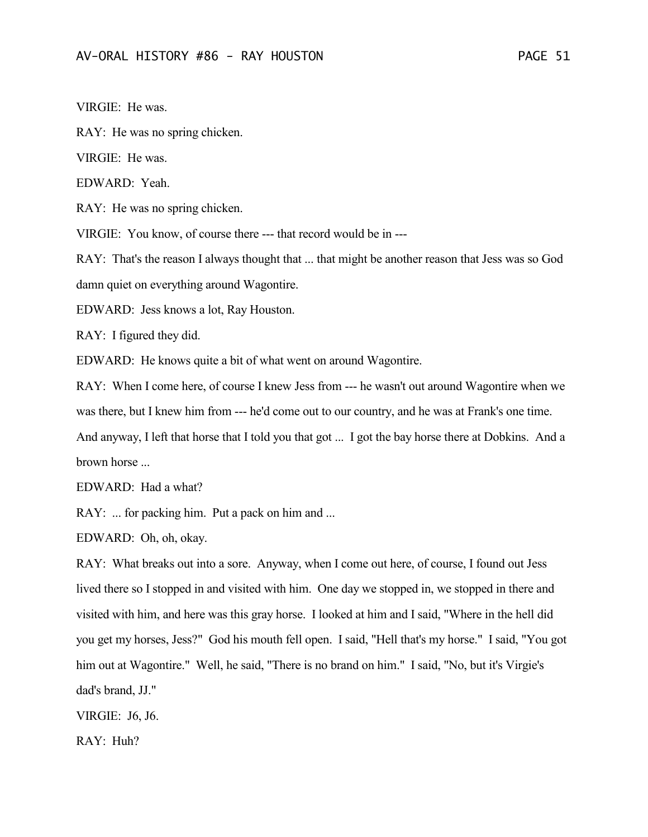VIRGIE: He was.

RAY: He was no spring chicken.

VIRGIE: He was.

EDWARD: Yeah.

RAY: He was no spring chicken.

VIRGIE: You know, of course there --- that record would be in ---

RAY: That's the reason I always thought that ... that might be another reason that Jess was so God damn quiet on everything around Wagontire.

EDWARD: Jess knows a lot, Ray Houston.

RAY: I figured they did.

EDWARD: He knows quite a bit of what went on around Wagontire.

RAY: When I come here, of course I knew Jess from --- he wasn't out around Wagontire when we was there, but I knew him from --- he'd come out to our country, and he was at Frank's one time. And anyway, I left that horse that I told you that got ... I got the bay horse there at Dobkins. And a brown horse ...

EDWARD: Had a what?

RAY: ... for packing him. Put a pack on him and ...

EDWARD: Oh, oh, okay.

RAY: What breaks out into a sore. Anyway, when I come out here, of course, I found out Jess lived there so I stopped in and visited with him. One day we stopped in, we stopped in there and visited with him, and here was this gray horse. I looked at him and I said, "Where in the hell did you get my horses, Jess?" God his mouth fell open. I said, "Hell that's my horse." I said, "You got him out at Wagontire." Well, he said, "There is no brand on him." I said, "No, but it's Virgie's dad's brand, JJ."

VIRGIE: J6, J6.

RAY: Huh?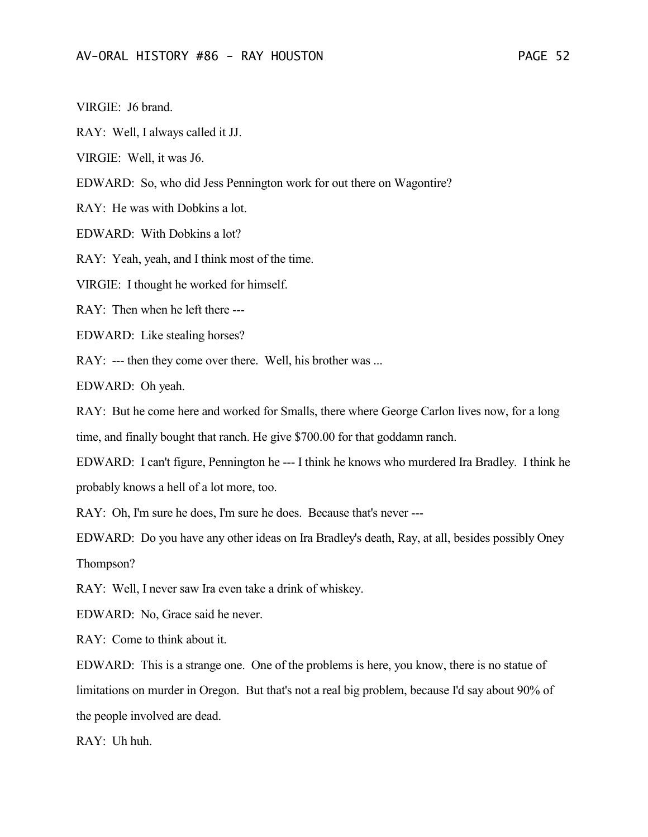VIRGIE: J6 brand.

RAY: Well, I always called it JJ.

VIRGIE: Well, it was J6.

EDWARD: So, who did Jess Pennington work for out there on Wagontire?

RAY: He was with Dobkins a lot.

EDWARD: With Dobkins a lot?

RAY: Yeah, yeah, and I think most of the time.

VIRGIE: I thought he worked for himself.

RAY: Then when he left there ---

EDWARD: Like stealing horses?

RAY: --- then they come over there. Well, his brother was ...

EDWARD: Oh yeah.

RAY: But he come here and worked for Smalls, there where George Carlon lives now, for a long time, and finally bought that ranch. He give \$700.00 for that goddamn ranch.

EDWARD: I can't figure, Pennington he --- I think he knows who murdered Ira Bradley. I think he

probably knows a hell of a lot more, too.

RAY: Oh, I'm sure he does, I'm sure he does. Because that's never ---

EDWARD: Do you have any other ideas on Ira Bradley's death, Ray, at all, besides possibly Oney Thompson?

RAY: Well, I never saw Ira even take a drink of whiskey.

EDWARD: No, Grace said he never.

RAY: Come to think about it.

EDWARD: This is a strange one. One of the problems is here, you know, there is no statue of limitations on murder in Oregon. But that's not a real big problem, because I'd say about 90% of the people involved are dead.

RAY: Uh huh.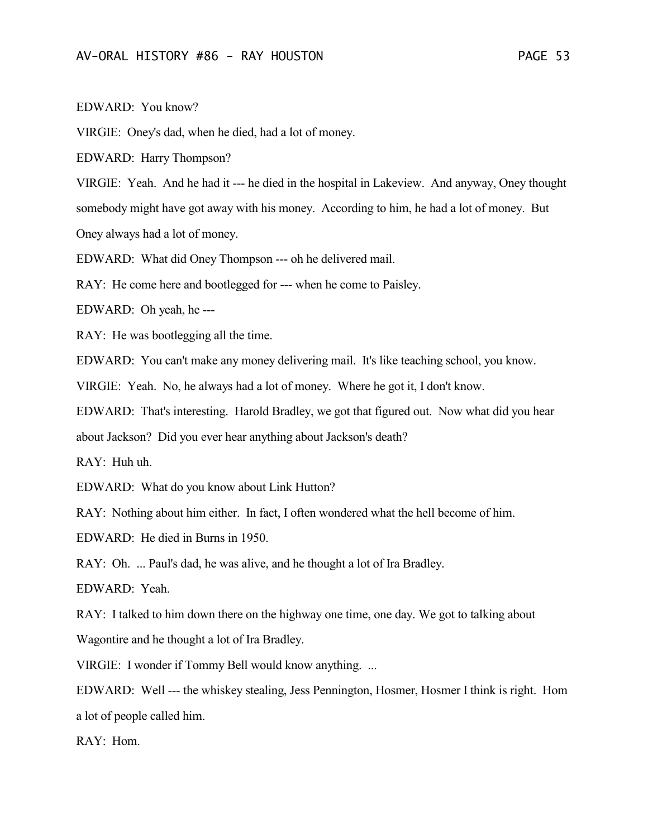VIRGIE: Oney's dad, when he died, had a lot of money.

EDWARD: Harry Thompson?

VIRGIE: Yeah. And he had it --- he died in the hospital in Lakeview. And anyway, Oney thought somebody might have got away with his money. According to him, he had a lot of money. But Oney always had a lot of money.

EDWARD: What did Oney Thompson --- oh he delivered mail.

RAY: He come here and bootlegged for --- when he come to Paisley.

EDWARD: Oh yeah, he ---

RAY: He was bootlegging all the time.

EDWARD: You can't make any money delivering mail. It's like teaching school, you know.

VIRGIE: Yeah. No, he always had a lot of money. Where he got it, I don't know.

EDWARD: That's interesting. Harold Bradley, we got that figured out. Now what did you hear

about Jackson? Did you ever hear anything about Jackson's death?

RAY: Huh uh.

EDWARD: What do you know about Link Hutton?

RAY: Nothing about him either. In fact, I often wondered what the hell become of him.

EDWARD: He died in Burns in 1950.

RAY: Oh. ... Paul's dad, he was alive, and he thought a lot of Ira Bradley.

EDWARD: Yeah.

RAY: I talked to him down there on the highway one time, one day. We got to talking about Wagontire and he thought a lot of Ira Bradley.

VIRGIE: I wonder if Tommy Bell would know anything. ...

EDWARD: Well --- the whiskey stealing, Jess Pennington, Hosmer, Hosmer I think is right. Hom a lot of people called him.

RAY: Hom.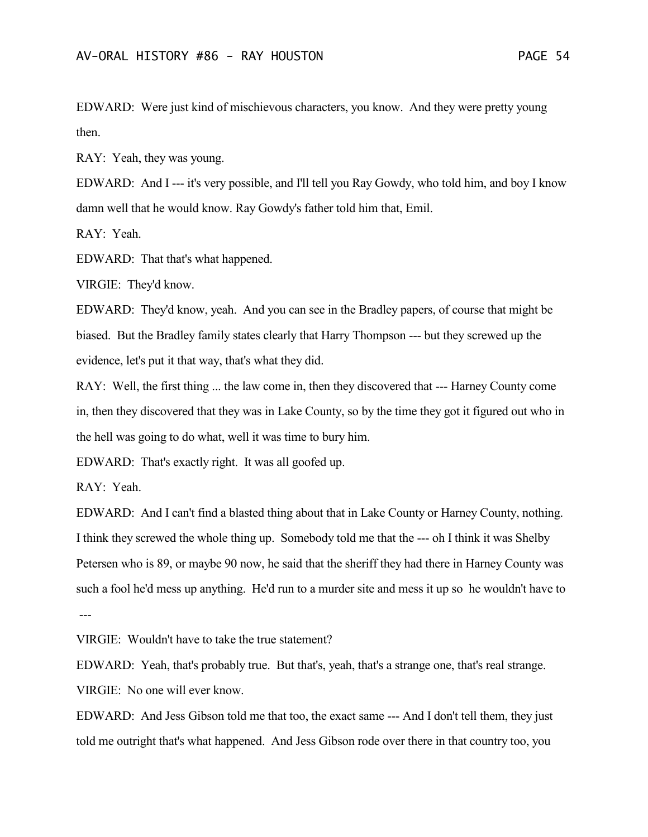EDWARD: Were just kind of mischievous characters, you know. And they were pretty young then.

RAY: Yeah, they was young.

EDWARD: And I --- it's very possible, and I'll tell you Ray Gowdy, who told him, and boy I know damn well that he would know. Ray Gowdy's father told him that, Emil.

RAY: Yeah.

EDWARD: That that's what happened.

VIRGIE: They'd know.

EDWARD: They'd know, yeah. And you can see in the Bradley papers, of course that might be biased. But the Bradley family states clearly that Harry Thompson --- but they screwed up the evidence, let's put it that way, that's what they did.

RAY: Well, the first thing ... the law come in, then they discovered that --- Harney County come in, then they discovered that they was in Lake County, so by the time they got it figured out who in the hell was going to do what, well it was time to bury him.

EDWARD: That's exactly right. It was all goofed up.

RAY: Yeah.

EDWARD: And I can't find a blasted thing about that in Lake County or Harney County, nothing. I think they screwed the whole thing up. Somebody told me that the --- oh I think it was Shelby Petersen who is 89, or maybe 90 now, he said that the sheriff they had there in Harney County was such a fool he'd mess up anything. He'd run to a murder site and mess it up so he wouldn't have to ---

VIRGIE: Wouldn't have to take the true statement?

EDWARD: Yeah, that's probably true. But that's, yeah, that's a strange one, that's real strange. VIRGIE: No one will ever know.

EDWARD: And Jess Gibson told me that too, the exact same --- And I don't tell them, they just told me outright that's what happened. And Jess Gibson rode over there in that country too, you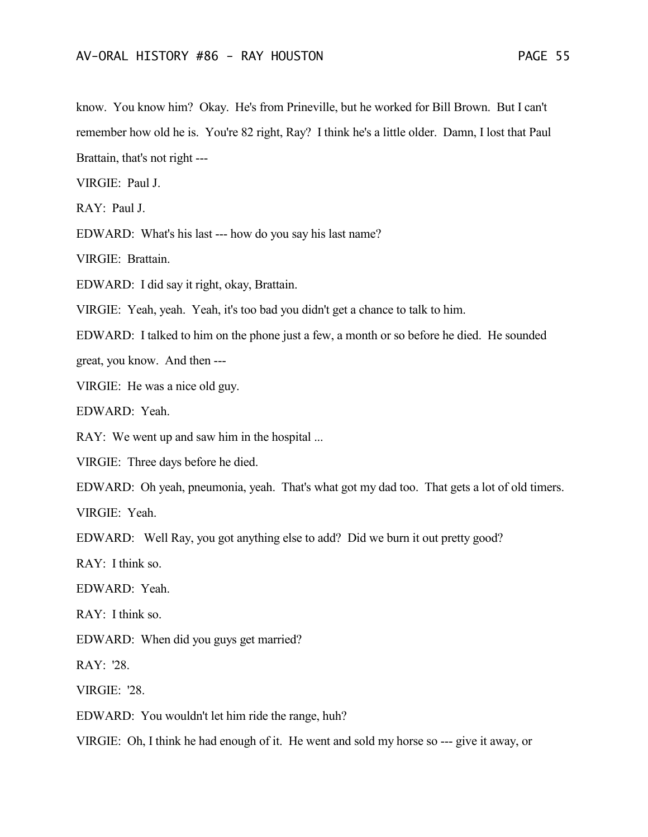know. You know him? Okay. He's from Prineville, but he worked for Bill Brown. But I can't remember how old he is. You're 82 right, Ray? I think he's a little older. Damn, I lost that Paul Brattain, that's not right ---

VIRGIE: Paul J.

RAY: Paul J.

EDWARD: What's his last --- how do you say his last name?

VIRGIE: Brattain.

EDWARD: I did say it right, okay, Brattain.

VIRGIE: Yeah, yeah. Yeah, it's too bad you didn't get a chance to talk to him.

EDWARD: I talked to him on the phone just a few, a month or so before he died. He sounded

great, you know. And then ---

VIRGIE: He was a nice old guy.

EDWARD: Yeah.

RAY: We went up and saw him in the hospital ...

VIRGIE: Three days before he died.

EDWARD: Oh yeah, pneumonia, yeah. That's what got my dad too. That gets a lot of old timers.

VIRGIE: Yeah.

EDWARD: Well Ray, you got anything else to add? Did we burn it out pretty good?

RAY: I think so.

EDWARD: Yeah.

RAY: I think so.

EDWARD: When did you guys get married?

RAY: '28.

VIRGIE: '28.

EDWARD: You wouldn't let him ride the range, huh?

VIRGIE: Oh, I think he had enough of it. He went and sold my horse so --- give it away, or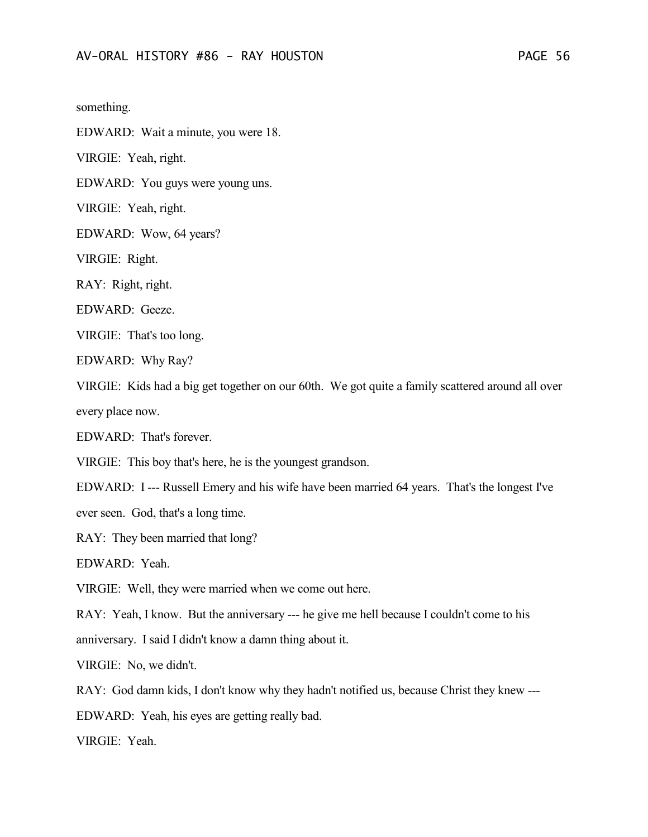something.

EDWARD: Wait a minute, you were 18.

VIRGIE: Yeah, right.

EDWARD: You guys were young uns.

VIRGIE: Yeah, right.

EDWARD: Wow, 64 years?

VIRGIE: Right.

RAY: Right, right.

EDWARD: Geeze.

VIRGIE: That's too long.

EDWARD: Why Ray?

VIRGIE: Kids had a big get together on our 60th. We got quite a family scattered around all over every place now.

EDWARD: That's forever.

VIRGIE: This boy that's here, he is the youngest grandson.

EDWARD: I --- Russell Emery and his wife have been married 64 years. That's the longest I've

ever seen. God, that's a long time.

RAY: They been married that long?

EDWARD: Yeah.

VIRGIE: Well, they were married when we come out here.

RAY: Yeah, I know. But the anniversary --- he give me hell because I couldn't come to his anniversary. I said I didn't know a damn thing about it.

VIRGIE: No, we didn't.

RAY: God damn kids, I don't know why they hadn't notified us, because Christ they knew ---

EDWARD: Yeah, his eyes are getting really bad.

VIRGIE: Yeah.